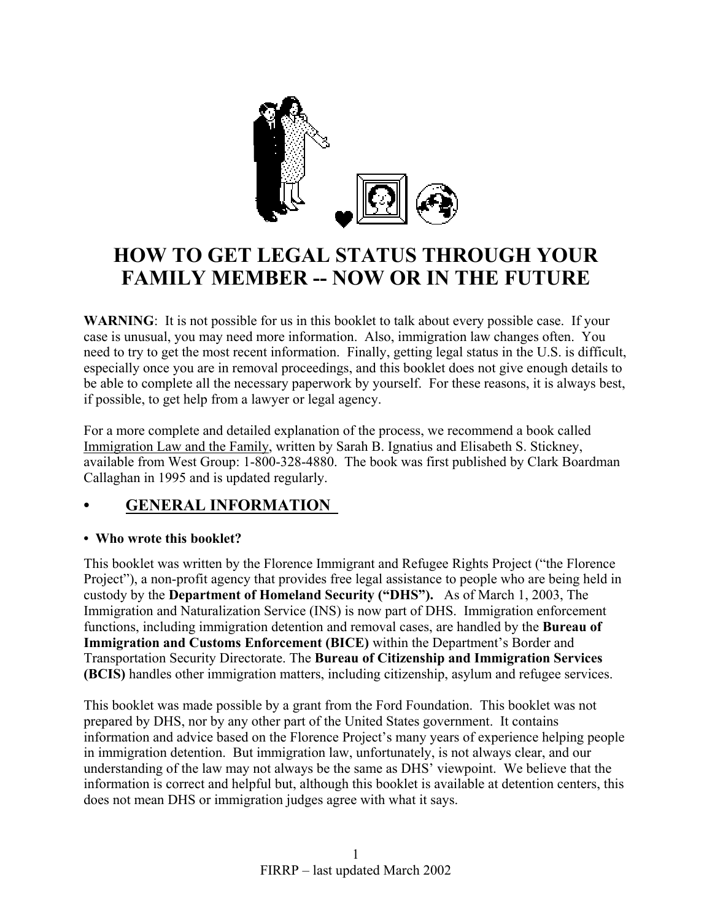

# **HOW TO GET LEGAL STATUS THROUGH YOUR FAMILY MEMBER -- NOW OR IN THE FUTURE**

**WARNING**: It is not possible for us in this booklet to talk about every possible case. If your case is unusual, you may need more information. Also, immigration law changes often. You need to try to get the most recent information. Finally, getting legal status in the U.S. is difficult, especially once you are in removal proceedings, and this booklet does not give enough details to be able to complete all the necessary paperwork by yourself. For these reasons, it is always best, if possible, to get help from a lawyer or legal agency.

For a more complete and detailed explanation of the process, we recommend a book called Immigration Law and the Family, written by Sarah B. Ignatius and Elisabeth S. Stickney, available from West Group: 1-800-328-4880. The book was first published by Clark Boardman Callaghan in 1995 and is updated regularly.

# **• GENERAL INFORMATION**

## **• Who wrote this booklet?**

This booklet was written by the Florence Immigrant and Refugee Rights Project ("the Florence Project"), a non-profit agency that provides free legal assistance to people who are being held in custody by the **Department of Homeland Security ("DHS").** As of March 1, 2003, The Immigration and Naturalization Service (INS) is now part of DHS. Immigration enforcement functions, including immigration detention and removal cases, are handled by the **Bureau of Immigration and Customs Enforcement (BICE)** within the Department's Border and Transportation Security Directorate. The **Bureau of Citizenship and Immigration Services (BCIS)** handles other immigration matters, including citizenship, asylum and refugee services.

This booklet was made possible by a grant from the Ford Foundation. This booklet was not prepared by DHS, nor by any other part of the United States government. It contains information and advice based on the Florence Project's many years of experience helping people in immigration detention. But immigration law, unfortunately, is not always clear, and our understanding of the law may not always be the same as DHS' viewpoint. We believe that the information is correct and helpful but, although this booklet is available at detention centers, this does not mean DHS or immigration judges agree with what it says.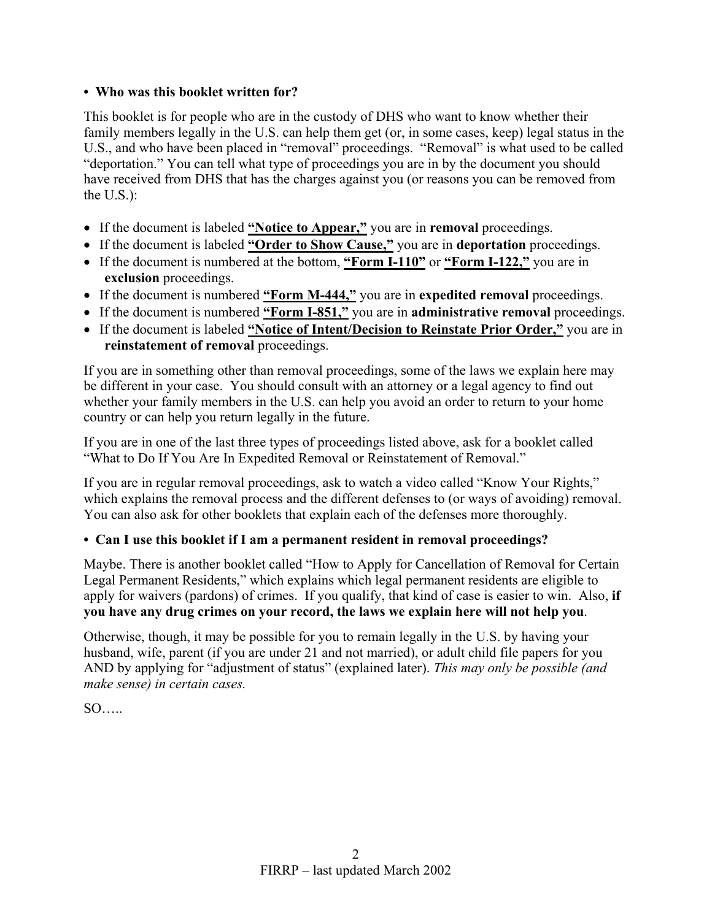## **• Who was this booklet written for?**

This booklet is for people who are in the custody of DHS who want to know whether their family members legally in the U.S. can help them get (or, in some cases, keep) legal status in the U.S., and who have been placed in "removal" proceedings. "Removal" is what used to be called "deportation." You can tell what type of proceedings you are in by the document you should have received from DHS that has the charges against you (or reasons you can be removed from the U.S.):

- If the document is labeled **"Notice to Appear,"** you are in **removal** proceedings.
- If the document is labeled **"Order to Show Cause,"** you are in **deportation** proceedings.
- If the document is numbered at the bottom, **"Form I-110"** or **"Form I-122,"** you are in **exclusion** proceedings.
- If the document is numbered **"Form M-444,"** you are in **expedited removal** proceedings.
- If the document is numbered **"Form I-851,"** you are in **administrative removal** proceedings.
- If the document is labeled **"Notice of Intent/Decision to Reinstate Prior Order,"** you are in **reinstatement of removal** proceedings.

If you are in something other than removal proceedings, some of the laws we explain here may be different in your case. You should consult with an attorney or a legal agency to find out whether your family members in the U.S. can help you avoid an order to return to your home country or can help you return legally in the future.

If you are in one of the last three types of proceedings listed above, ask for a booklet called "What to Do If You Are In Expedited Removal or Reinstatement of Removal."

If you are in regular removal proceedings, ask to watch a video called "Know Your Rights," which explains the removal process and the different defenses to (or ways of avoiding) removal. You can also ask for other booklets that explain each of the defenses more thoroughly.

## **• Can I use this booklet if I am a permanent resident in removal proceedings?**

Maybe. There is another booklet called "How to Apply for Cancellation of Removal for Certain Legal Permanent Residents," which explains which legal permanent residents are eligible to apply for waivers (pardons) of crimes. If you qualify, that kind of case is easier to win. Also, **if you have any drug crimes on your record, the laws we explain here will not help you**.

Otherwise, though, it may be possible for you to remain legally in the U.S. by having your husband, wife, parent (if you are under 21 and not married), or adult child file papers for you AND by applying for "adjustment of status" (explained later). *This may only be possible (and make sense) in certain cases.*

 $SO$ .....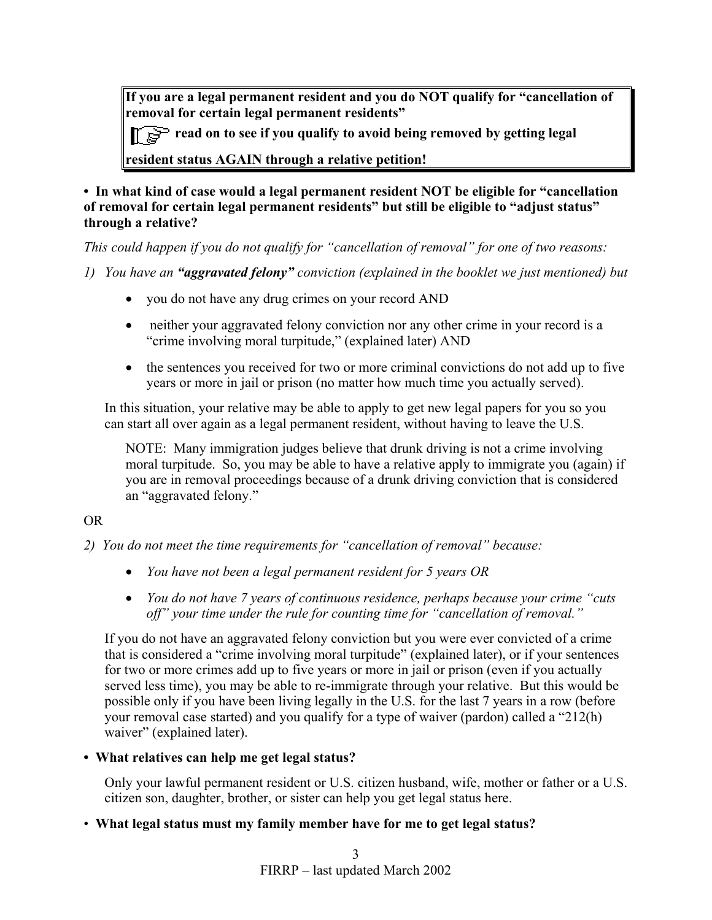**If you are a legal permanent resident and you do NOT qualify for "cancellation of removal for certain legal permanent residents"** 

**Figure 2** read on to see if you qualify to avoid being removed by getting legal

**resident status AGAIN through a relative petition!**

**• In what kind of case would a legal permanent resident NOT be eligible for "cancellation of removal for certain legal permanent residents" but still be eligible to "adjust status" through a relative?**

*This could happen if you do not qualify for "cancellation of removal" for one of two reasons:* 

*1) You have an "aggravated felony" conviction (explained in the booklet we just mentioned) but* 

- you do not have any drug crimes on your record AND
- neither your aggravated felony conviction nor any other crime in your record is a "crime involving moral turpitude," (explained later) AND
- the sentences you received for two or more criminal convictions do not add up to five years or more in jail or prison (no matter how much time you actually served).

In this situation, your relative may be able to apply to get new legal papers for you so you can start all over again as a legal permanent resident, without having to leave the U.S.

NOTE: Many immigration judges believe that drunk driving is not a crime involving moral turpitude. So, you may be able to have a relative apply to immigrate you (again) if you are in removal proceedings because of a drunk driving conviction that is considered an "aggravated felony."

## OR

- *2) You do not meet the time requirements for "cancellation of removal" because:*
	- *You have not been a legal permanent resident for 5 years OR*
	- *You do not have 7 years of continuous residence, perhaps because your crime "cuts off" your time under the rule for counting time for "cancellation of removal."*

If you do not have an aggravated felony conviction but you were ever convicted of a crime that is considered a "crime involving moral turpitude" (explained later), or if your sentences for two or more crimes add up to five years or more in jail or prison (even if you actually served less time), you may be able to re-immigrate through your relative. But this would be possible only if you have been living legally in the U.S. for the last 7 years in a row (before your removal case started) and you qualify for a type of waiver (pardon) called a "212(h) waiver" (explained later).

## **• What relatives can help me get legal status?**

Only your lawful permanent resident or U.S. citizen husband, wife, mother or father or a U.S. citizen son, daughter, brother, or sister can help you get legal status here.

• **What legal status must my family member have for me to get legal status?**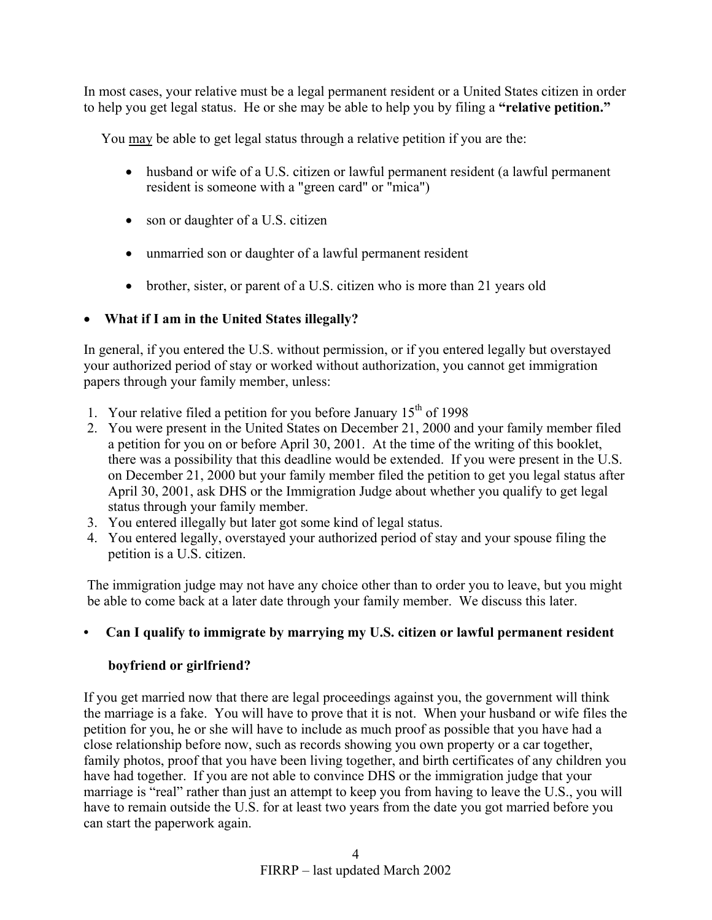In most cases, your relative must be a legal permanent resident or a United States citizen in order to help you get legal status. He or she may be able to help you by filing a **"relative petition."**

You may be able to get legal status through a relative petition if you are the:

- husband or wife of a U.S. citizen or lawful permanent resident (a lawful permanent resident is someone with a "green card" or "mica")
- son or daughter of a U.S. citizen
- unmarried son or daughter of a lawful permanent resident
- brother, sister, or parent of a U.S. citizen who is more than 21 years old

## • **What if I am in the United States illegally?**

In general, if you entered the U.S. without permission, or if you entered legally but overstayed your authorized period of stay or worked without authorization, you cannot get immigration papers through your family member, unless:

- 1. Your relative filed a petition for you before January  $15<sup>th</sup>$  of 1998
- 2. You were present in the United States on December 21, 2000 and your family member filed a petition for you on or before April 30, 2001. At the time of the writing of this booklet, there was a possibility that this deadline would be extended. If you were present in the U.S. on December 21, 2000 but your family member filed the petition to get you legal status after April 30, 2001, ask DHS or the Immigration Judge about whether you qualify to get legal status through your family member.
- 3. You entered illegally but later got some kind of legal status.
- 4. You entered legally, overstayed your authorized period of stay and your spouse filing the petition is a U.S. citizen.

The immigration judge may not have any choice other than to order you to leave, but you might be able to come back at a later date through your family member. We discuss this later.

# **• Can I qualify to immigrate by marrying my U.S. citizen or lawful permanent resident**

## **boyfriend or girlfriend?**

If you get married now that there are legal proceedings against you, the government will think the marriage is a fake. You will have to prove that it is not. When your husband or wife files the petition for you, he or she will have to include as much proof as possible that you have had a close relationship before now, such as records showing you own property or a car together, family photos, proof that you have been living together, and birth certificates of any children you have had together. If you are not able to convince DHS or the immigration judge that your marriage is "real" rather than just an attempt to keep you from having to leave the U.S., you will have to remain outside the U.S. for at least two years from the date you got married before you can start the paperwork again.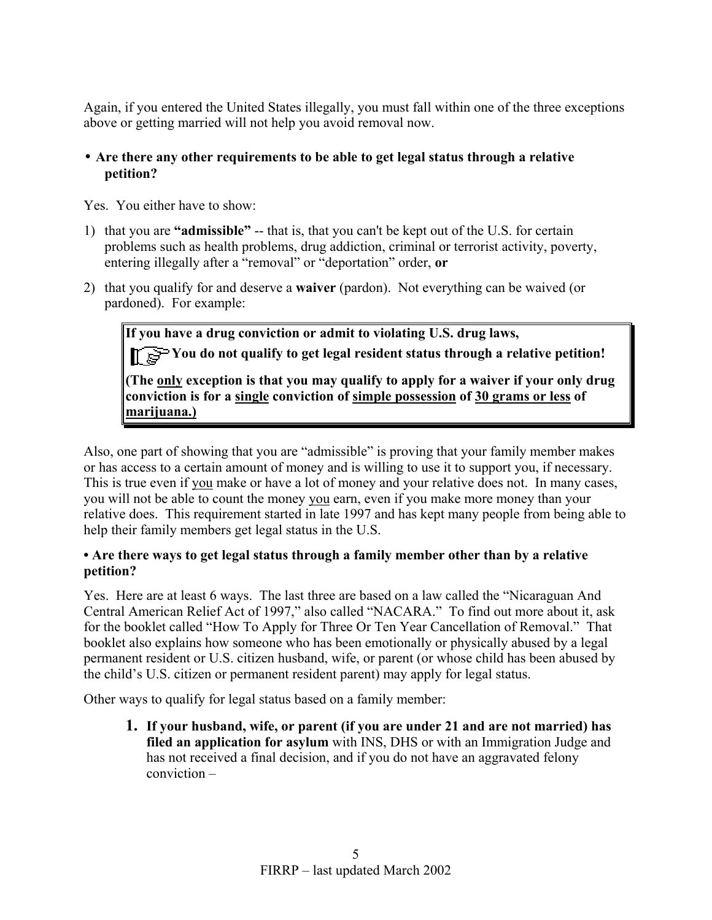Again, if you entered the United States illegally, you must fall within one of the three exceptions above or getting married will not help you avoid removal now.

## • **Are there any other requirements to be able to get legal status through a relative petition?**

Yes. You either have to show:

- 1) that you are **"admissible"** -- that is, that you can't be kept out of the U.S. for certain problems such as health problems, drug addiction, criminal or terrorist activity, poverty, entering illegally after a "removal" or "deportation" order, **or**
- 2) that you qualify for and deserve a **waiver** (pardon). Not everything can be waived (or pardoned). For example:

**If you have a drug conviction or admit to violating U.S. drug laws,** You do not qualify to get legal resident status through a relative petition! **(The only exception is that you may qualify to apply for a waiver if your only drug conviction is for a single conviction of simple possession of 30 grams or less of marijuana.)**

Also, one part of showing that you are "admissible" is proving that your family member makes or has access to a certain amount of money and is willing to use it to support you, if necessary. This is true even if you make or have a lot of money and your relative does not. In many cases, you will not be able to count the money you earn, even if you make more money than your relative does. This requirement started in late 1997 and has kept many people from being able to help their family members get legal status in the U.S.

## **• Are there ways to get legal status through a family member other than by a relative petition?**

Yes. Here are at least 6 ways. The last three are based on a law called the "Nicaraguan And Central American Relief Act of 1997," also called "NACARA." To find out more about it, ask for the booklet called "How To Apply for Three Or Ten Year Cancellation of Removal." That booklet also explains how someone who has been emotionally or physically abused by a legal permanent resident or U.S. citizen husband, wife, or parent (or whose child has been abused by the child's U.S. citizen or permanent resident parent) may apply for legal status.

Other ways to qualify for legal status based on a family member:

**1. If your husband, wife, or parent (if you are under 21 and are not married) has filed an application for asylum** with INS, DHS or with an Immigration Judge and has not received a final decision, and if you do not have an aggravated felony conviction –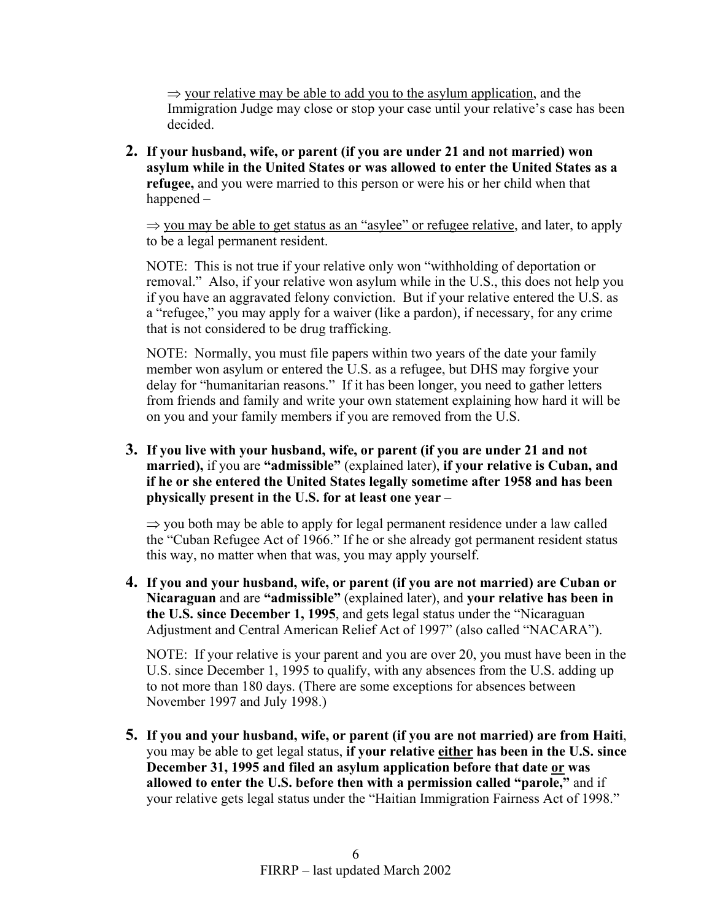$\Rightarrow$  your relative may be able to add you to the asylum application, and the Immigration Judge may close or stop your case until your relative's case has been decided.

**2. If your husband, wife, or parent (if you are under 21 and not married) won asylum while in the United States or was allowed to enter the United States as a refugee,** and you were married to this person or were his or her child when that happened –

 $\Rightarrow$  you may be able to get status as an "asylee" or refugee relative, and later, to apply to be a legal permanent resident.

NOTE: This is not true if your relative only won "withholding of deportation or removal." Also, if your relative won asylum while in the U.S., this does not help you if you have an aggravated felony conviction. But if your relative entered the U.S. as a "refugee," you may apply for a waiver (like a pardon), if necessary, for any crime that is not considered to be drug trafficking.

NOTE: Normally, you must file papers within two years of the date your family member won asylum or entered the U.S. as a refugee, but DHS may forgive your delay for "humanitarian reasons." If it has been longer, you need to gather letters from friends and family and write your own statement explaining how hard it will be on you and your family members if you are removed from the U.S.

**3. If you live with your husband, wife, or parent (if you are under 21 and not married),** if you are **"admissible"** (explained later), **if your relative is Cuban, and if he or she entered the United States legally sometime after 1958 and has been physically present in the U.S. for at least one year** –

 $\Rightarrow$  you both may be able to apply for legal permanent residence under a law called the "Cuban Refugee Act of 1966." If he or she already got permanent resident status this way, no matter when that was, you may apply yourself.

**4. If you and your husband, wife, or parent (if you are not married) are Cuban or Nicaraguan** and are **"admissible"** (explained later), and **your relative has been in the U.S. since December 1, 1995**, and gets legal status under the "Nicaraguan Adjustment and Central American Relief Act of 1997" (also called "NACARA").

NOTE: If your relative is your parent and you are over 20, you must have been in the U.S. since December 1, 1995 to qualify, with any absences from the U.S. adding up to not more than 180 days. (There are some exceptions for absences between November 1997 and July 1998.)

**5. If you and your husband, wife, or parent (if you are not married) are from Haiti**, you may be able to get legal status, **if your relative either has been in the U.S. since December 31, 1995 and filed an asylum application before that date or was allowed to enter the U.S. before then with a permission called "parole,"** and if your relative gets legal status under the "Haitian Immigration Fairness Act of 1998."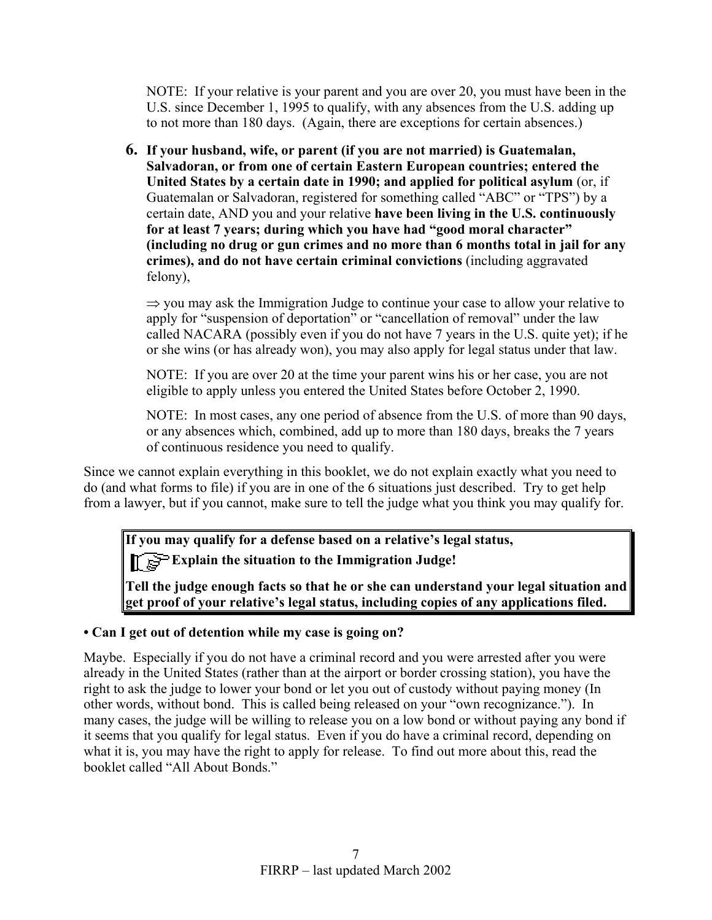NOTE: If your relative is your parent and you are over 20, you must have been in the U.S. since December 1, 1995 to qualify, with any absences from the U.S. adding up to not more than 180 days. (Again, there are exceptions for certain absences.)

**6. If your husband, wife, or parent (if you are not married) is Guatemalan, Salvadoran, or from one of certain Eastern European countries; entered the United States by a certain date in 1990; and applied for political asylum** (or, if Guatemalan or Salvadoran, registered for something called "ABC" or "TPS") by a certain date, AND you and your relative **have been living in the U.S. continuously for at least 7 years; during which you have had "good moral character" (including no drug or gun crimes and no more than 6 months total in jail for any crimes), and do not have certain criminal convictions** (including aggravated felony),

 $\Rightarrow$  you may ask the Immigration Judge to continue your case to allow your relative to apply for "suspension of deportation" or "cancellation of removal" under the law called NACARA (possibly even if you do not have 7 years in the U.S. quite yet); if he or she wins (or has already won), you may also apply for legal status under that law.

NOTE: If you are over 20 at the time your parent wins his or her case, you are not eligible to apply unless you entered the United States before October 2, 1990.

NOTE: In most cases, any one period of absence from the U.S. of more than 90 days, or any absences which, combined, add up to more than 180 days, breaks the 7 years of continuous residence you need to qualify.

Since we cannot explain everything in this booklet, we do not explain exactly what you need to do (and what forms to file) if you are in one of the 6 situations just described. Try to get help from a lawyer, but if you cannot, make sure to tell the judge what you think you may qualify for.

**If you may qualify for a defense based on a relative's legal status, EXPLAIN THE SEX EXPLAIN THE SITUATION OF EXPLAIN** the situation to the Immigration Judge!

**Tell the judge enough facts so that he or she can understand your legal situation and get proof of your relative's legal status, including copies of any applications filed.**

## **• Can I get out of detention while my case is going on?**

Maybe. Especially if you do not have a criminal record and you were arrested after you were already in the United States (rather than at the airport or border crossing station), you have the right to ask the judge to lower your bond or let you out of custody without paying money (In other words, without bond. This is called being released on your "own recognizance."). In many cases, the judge will be willing to release you on a low bond or without paying any bond if it seems that you qualify for legal status. Even if you do have a criminal record, depending on what it is, you may have the right to apply for release. To find out more about this, read the booklet called "All About Bonds."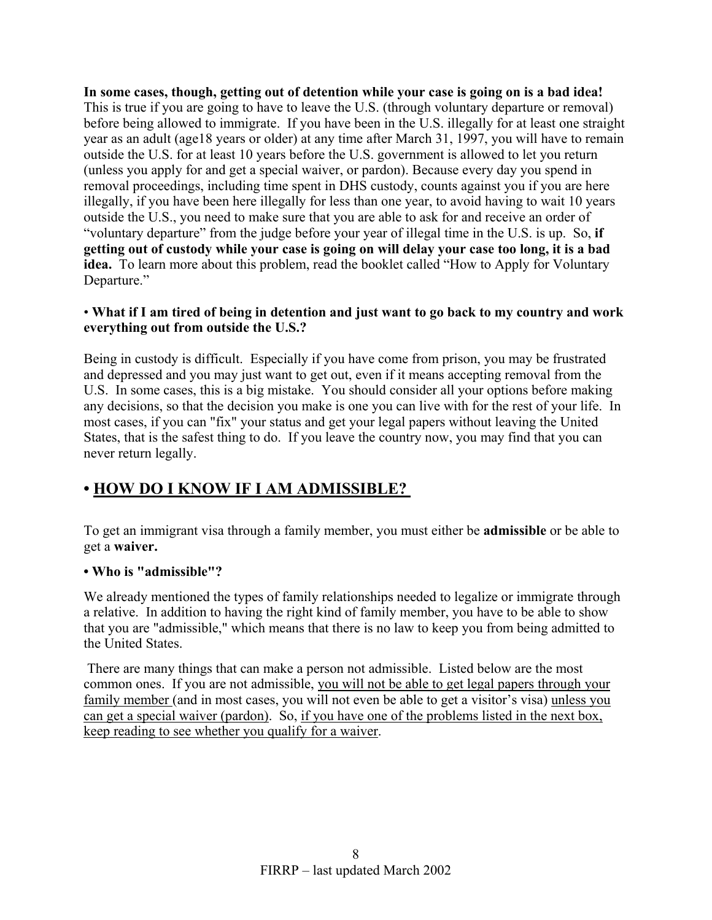**In some cases, though, getting out of detention while your case is going on is a bad idea!** This is true if you are going to have to leave the U.S. (through voluntary departure or removal) before being allowed to immigrate. If you have been in the U.S. illegally for at least one straight year as an adult (age18 years or older) at any time after March 31, 1997, you will have to remain outside the U.S. for at least 10 years before the U.S. government is allowed to let you return (unless you apply for and get a special waiver, or pardon). Because every day you spend in removal proceedings, including time spent in DHS custody, counts against you if you are here illegally, if you have been here illegally for less than one year, to avoid having to wait 10 years outside the U.S., you need to make sure that you are able to ask for and receive an order of "voluntary departure" from the judge before your year of illegal time in the U.S. is up. So, **if getting out of custody while your case is going on will delay your case too long, it is a bad idea.** To learn more about this problem, read the booklet called "How to Apply for Voluntary Departure."

## • **What if I am tired of being in detention and just want to go back to my country and work everything out from outside the U.S.?**

Being in custody is difficult. Especially if you have come from prison, you may be frustrated and depressed and you may just want to get out, even if it means accepting removal from the U.S. In some cases, this is a big mistake. You should consider all your options before making any decisions, so that the decision you make is one you can live with for the rest of your life. In most cases, if you can "fix" your status and get your legal papers without leaving the United States, that is the safest thing to do. If you leave the country now, you may find that you can never return legally.

# **• HOW DO I KNOW IF I AM ADMISSIBLE?**

To get an immigrant visa through a family member, you must either be **admissible** or be able to get a **waiver.**

## **• Who is "admissible"?**

We already mentioned the types of family relationships needed to legalize or immigrate through a relative. In addition to having the right kind of family member, you have to be able to show that you are "admissible," which means that there is no law to keep you from being admitted to the United States.

 There are many things that can make a person not admissible. Listed below are the most common ones. If you are not admissible, you will not be able to get legal papers through your family member (and in most cases, you will not even be able to get a visitor's visa) unless you can get a special waiver (pardon). So, if you have one of the problems listed in the next box, keep reading to see whether you qualify for a waiver.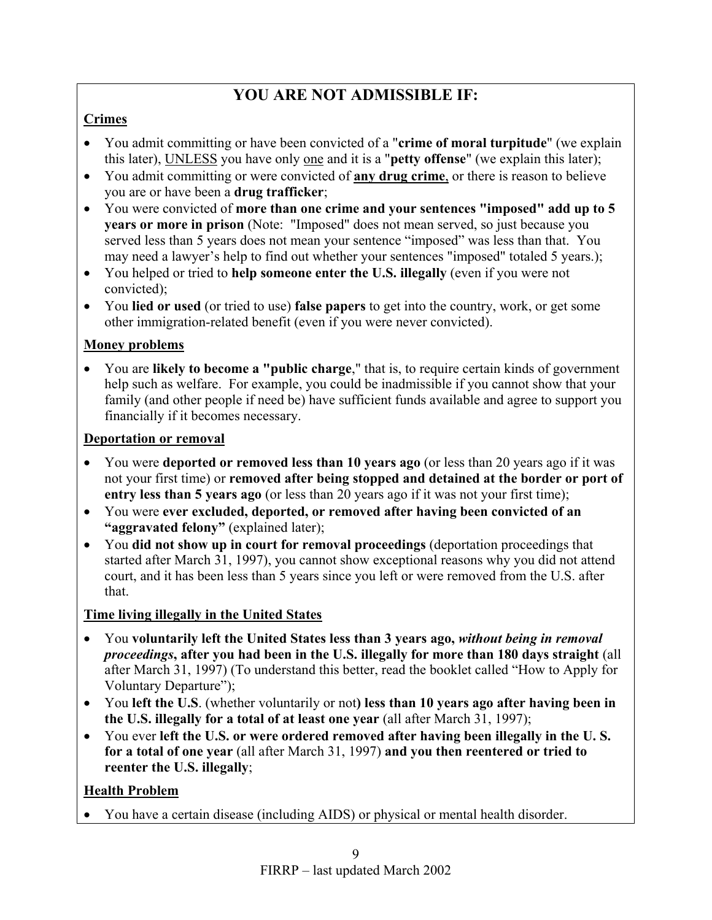# **YOU ARE NOT ADMISSIBLE IF:**

# **Crimes**

- You admit committing or have been convicted of a "**crime of moral turpitude**" (we explain this later), UNLESS you have only one and it is a "**petty offense**" (we explain this later);
- You admit committing or were convicted of **any drug crime**, or there is reason to believe you are or have been a **drug trafficker**;
- You were convicted of **more than one crime and your sentences "imposed" add up to 5 years or more in prison** (Note: "Imposed" does not mean served, so just because you served less than 5 years does not mean your sentence "imposed" was less than that. You may need a lawyer's help to find out whether your sentences "imposed" totaled 5 years.);
- You helped or tried to **help someone enter the U.S. illegally** (even if you were not convicted);
- You **lied or used** (or tried to use) **false papers** to get into the country, work, or get some other immigration-related benefit (even if you were never convicted).

# **Money problems**

• You are **likely to become a "public charge**," that is, to require certain kinds of government help such as welfare. For example, you could be inadmissible if you cannot show that your family (and other people if need be) have sufficient funds available and agree to support you financially if it becomes necessary.

# **Deportation or removal**

- You were **deported or removed less than 10 years ago** (or less than 20 years ago if it was not your first time) or **removed after being stopped and detained at the border or port of entry less than 5 years ago** (or less than 20 years ago if it was not your first time);
- You were **ever excluded, deported, or removed after having been convicted of an "aggravated felony"** (explained later);
- You **did not show up in court for removal proceedings** (deportation proceedings that started after March 31, 1997), you cannot show exceptional reasons why you did not attend court, and it has been less than 5 years since you left or were removed from the U.S. after that.

# **Time living illegally in the United States**

- You **voluntarily left the United States less than 3 years ago,** *without being in removal proceedings***, after you had been in the U.S. illegally for more than 180 days straight** (all after March 31, 1997) (To understand this better, read the booklet called "How to Apply for Voluntary Departure");
- You **left the U.S**. (whether voluntarily or not**) less than 10 years ago after having been in the U.S. illegally for a total of at least one year** (all after March 31, 1997);
- You ever **left the U.S. or were ordered removed after having been illegally in the U. S. for a total of one year** (all after March 31, 1997) **and you then reentered or tried to reenter the U.S. illegally**;

# **Health Problem**

• You have a certain disease (including AIDS) or physical or mental health disorder.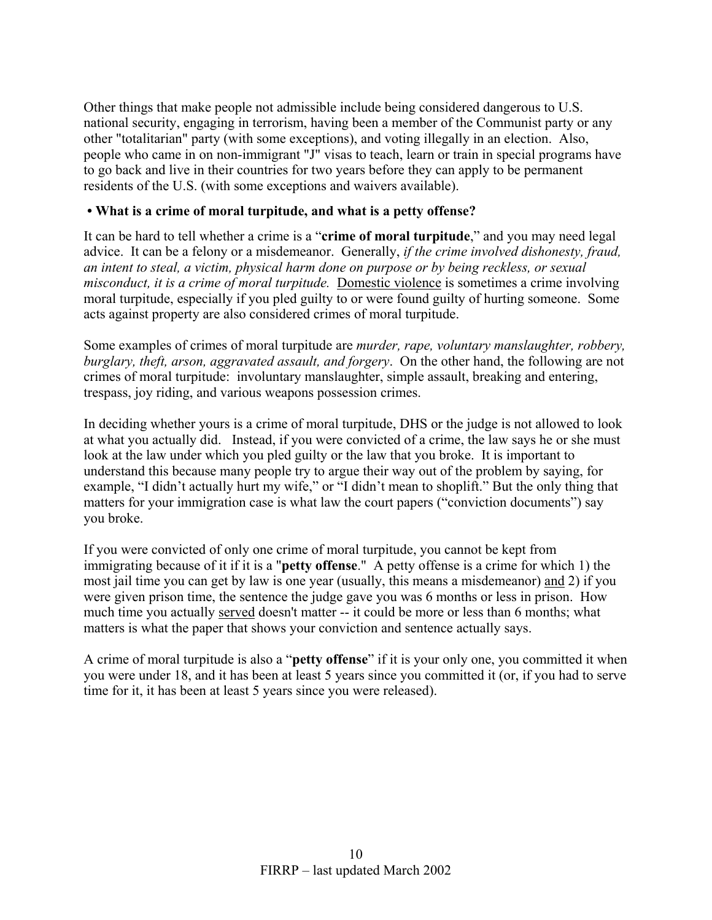Other things that make people not admissible include being considered dangerous to U.S. national security, engaging in terrorism, having been a member of the Communist party or any other "totalitarian" party (with some exceptions), and voting illegally in an election. Also, people who came in on non-immigrant "J" visas to teach, learn or train in special programs have to go back and live in their countries for two years before they can apply to be permanent residents of the U.S. (with some exceptions and waivers available).

#### **• What is a crime of moral turpitude, and what is a petty offense?**

It can be hard to tell whether a crime is a "**crime of moral turpitude**," and you may need legal advice. It can be a felony or a misdemeanor. Generally, *if the crime involved dishonesty, fraud, an intent to steal, a victim, physical harm done on purpose or by being reckless, or sexual misconduct, it is a crime of moral turpitude.* Domestic violence is sometimes a crime involving moral turpitude, especially if you pled guilty to or were found guilty of hurting someone. Some acts against property are also considered crimes of moral turpitude.

Some examples of crimes of moral turpitude are *murder, rape, voluntary manslaughter, robbery, burglary, theft, arson, aggravated assault, and forgery*. On the other hand, the following are not crimes of moral turpitude: involuntary manslaughter, simple assault, breaking and entering, trespass, joy riding, and various weapons possession crimes.

In deciding whether yours is a crime of moral turpitude, DHS or the judge is not allowed to look at what you actually did. Instead, if you were convicted of a crime, the law says he or she must look at the law under which you pled guilty or the law that you broke. It is important to understand this because many people try to argue their way out of the problem by saying, for example, "I didn't actually hurt my wife," or "I didn't mean to shoplift." But the only thing that matters for your immigration case is what law the court papers ("conviction documents") say you broke.

If you were convicted of only one crime of moral turpitude, you cannot be kept from immigrating because of it if it is a "**petty offense**." A petty offense is a crime for which 1) the most jail time you can get by law is one year (usually, this means a misdemeanor) and 2) if you were given prison time, the sentence the judge gave you was 6 months or less in prison. How much time you actually served doesn't matter -- it could be more or less than 6 months; what matters is what the paper that shows your conviction and sentence actually says.

A crime of moral turpitude is also a "**petty offense**" if it is your only one, you committed it when you were under 18, and it has been at least 5 years since you committed it (or, if you had to serve time for it, it has been at least 5 years since you were released).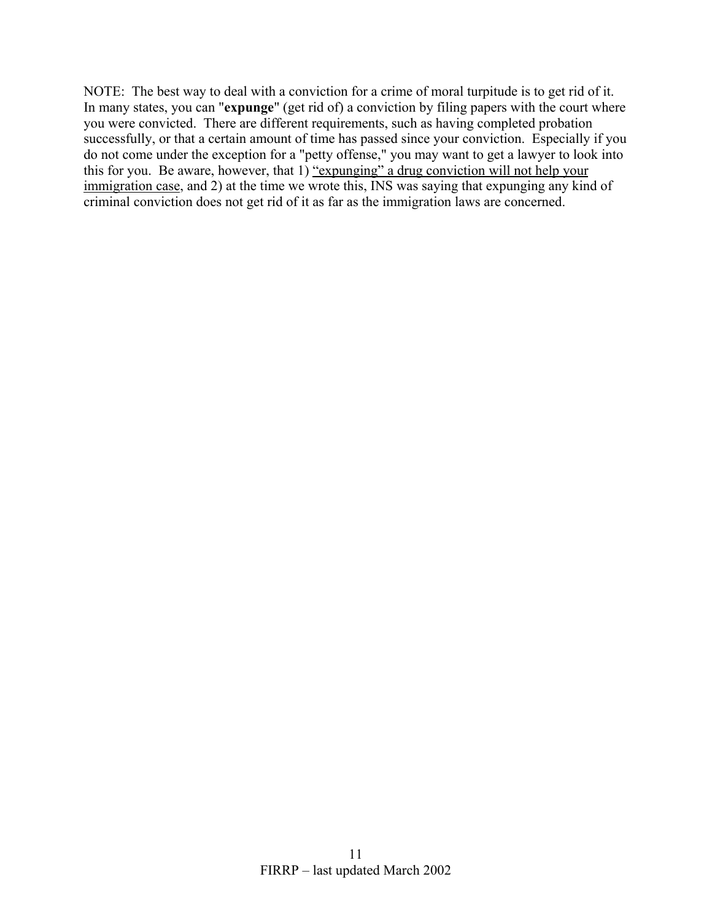NOTE: The best way to deal with a conviction for a crime of moral turpitude is to get rid of it. In many states, you can "**expunge**" (get rid of) a conviction by filing papers with the court where you were convicted. There are different requirements, such as having completed probation successfully, or that a certain amount of time has passed since your conviction. Especially if you do not come under the exception for a "petty offense," you may want to get a lawyer to look into this for you. Be aware, however, that 1) "expunging" a drug conviction will not help your immigration case, and 2) at the time we wrote this, INS was saying that expunging any kind of criminal conviction does not get rid of it as far as the immigration laws are concerned.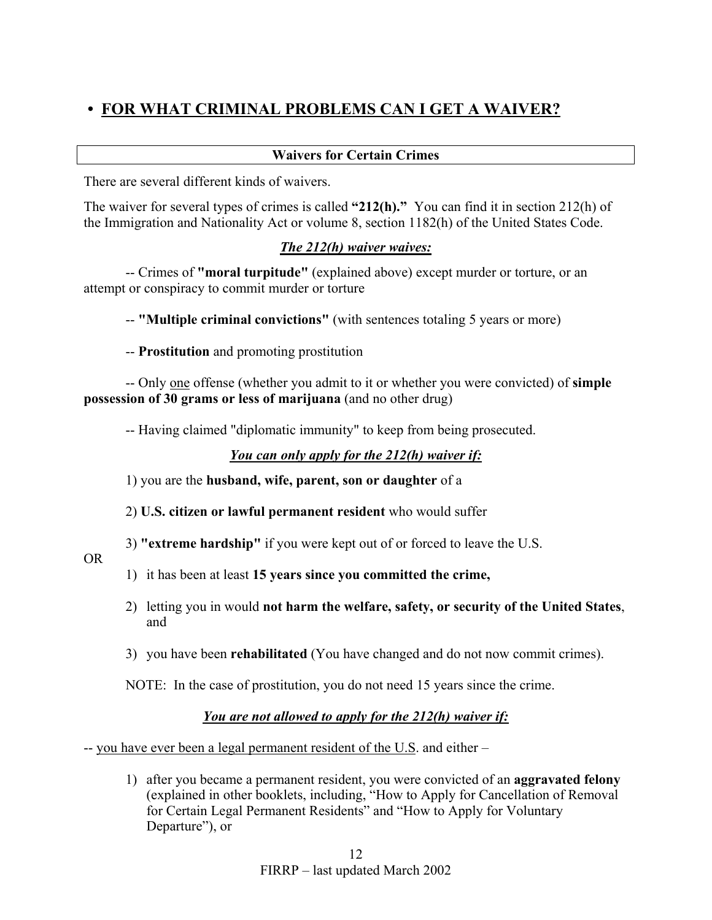# **• FOR WHAT CRIMINAL PROBLEMS CAN I GET A WAIVER?**

#### **Waivers for Certain Crimes**

There are several different kinds of waivers.

The waiver for several types of crimes is called **"212(h)."** You can find it in section 212(h) of the Immigration and Nationality Act or volume 8, section 1182(h) of the United States Code.

## *The 212(h) waiver waives:*

-- Crimes of **"moral turpitude"** (explained above) except murder or torture, or an attempt or conspiracy to commit murder or torture

-- **"Multiple criminal convictions"** (with sentences totaling 5 years or more)

-- **Prostitution** and promoting prostitution

-- Only one offense (whether you admit to it or whether you were convicted) of **simple possession of 30 grams or less of marijuana** (and no other drug)

-- Having claimed "diplomatic immunity" to keep from being prosecuted.

## *You can only apply for the 212(h) waiver if:*

1) you are the **husband, wife, parent, son or daughter** of a

2) **U.S. citizen or lawful permanent resident** who would suffer

3) **"extreme hardship"** if you were kept out of or forced to leave the U.S.

OR

- 1) it has been at least **15 years since you committed the crime,**
- 2) letting you in would **not harm the welfare, safety, or security of the United States**, and
- 3) you have been **rehabilitated** (You have changed and do not now commit crimes).

NOTE: In the case of prostitution, you do not need 15 years since the crime.

## *You are not allowed to apply for the 212(h) waiver if:*

-- you have ever been a legal permanent resident of the U.S. and either –

1) after you became a permanent resident, you were convicted of an **aggravated felony** (explained in other booklets, including, "How to Apply for Cancellation of Removal for Certain Legal Permanent Residents" and "How to Apply for Voluntary Departure"), or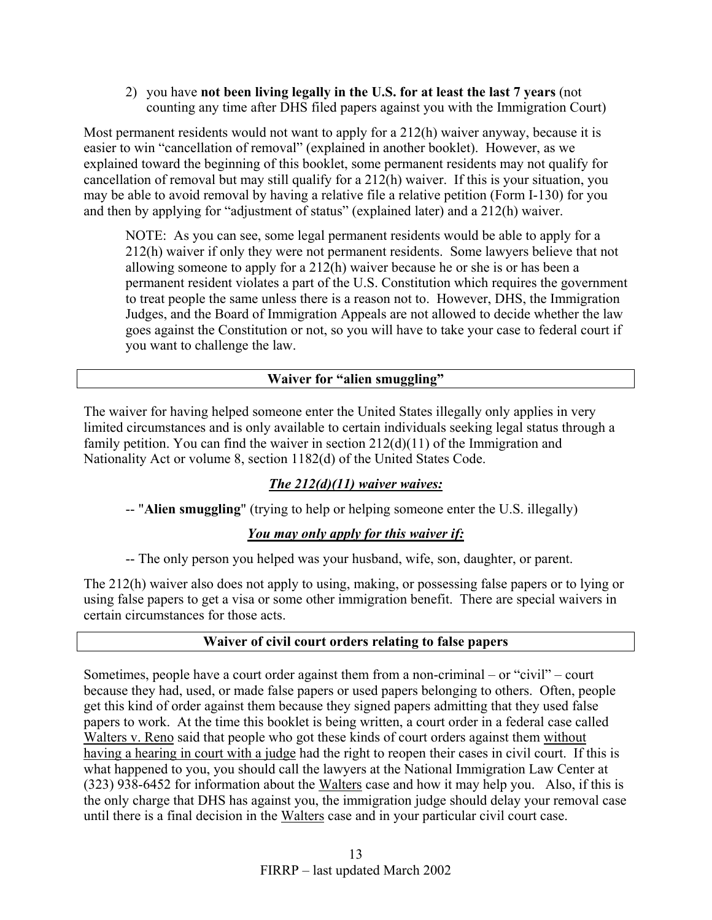2) you have **not been living legally in the U.S. for at least the last 7 years** (not counting any time after DHS filed papers against you with the Immigration Court)

Most permanent residents would not want to apply for a 212(h) waiver anyway, because it is easier to win "cancellation of removal" (explained in another booklet). However, as we explained toward the beginning of this booklet, some permanent residents may not qualify for cancellation of removal but may still qualify for a 212(h) waiver. If this is your situation, you may be able to avoid removal by having a relative file a relative petition (Form I-130) for you and then by applying for "adjustment of status" (explained later) and a 212(h) waiver.

NOTE: As you can see, some legal permanent residents would be able to apply for a 212(h) waiver if only they were not permanent residents. Some lawyers believe that not allowing someone to apply for a 212(h) waiver because he or she is or has been a permanent resident violates a part of the U.S. Constitution which requires the government to treat people the same unless there is a reason not to. However, DHS, the Immigration Judges, and the Board of Immigration Appeals are not allowed to decide whether the law goes against the Constitution or not, so you will have to take your case to federal court if you want to challenge the law.

#### **Waiver for "alien smuggling"**

The waiver for having helped someone enter the United States illegally only applies in very limited circumstances and is only available to certain individuals seeking legal status through a family petition. You can find the waiver in section 212(d)(11) of the Immigration and Nationality Act or volume 8, section 1182(d) of the United States Code.

## *The 212(d)(11) waiver waives:*

-- "**Alien smuggling**" (trying to help or helping someone enter the U.S. illegally)

#### *You may only apply for this waiver if:*

-- The only person you helped was your husband, wife, son, daughter, or parent.

The 212(h) waiver also does not apply to using, making, or possessing false papers or to lying or using false papers to get a visa or some other immigration benefit. There are special waivers in certain circumstances for those acts.

#### **Waiver of civil court orders relating to false papers**

Sometimes, people have a court order against them from a non-criminal – or "civil" – court because they had, used, or made false papers or used papers belonging to others. Often, people get this kind of order against them because they signed papers admitting that they used false papers to work. At the time this booklet is being written, a court order in a federal case called Walters v. Reno said that people who got these kinds of court orders against them without having a hearing in court with a judge had the right to reopen their cases in civil court. If this is what happened to you, you should call the lawyers at the National Immigration Law Center at (323) 938-6452 for information about the Walters case and how it may help you. Also, if this is the only charge that DHS has against you, the immigration judge should delay your removal case until there is a final decision in the Walters case and in your particular civil court case.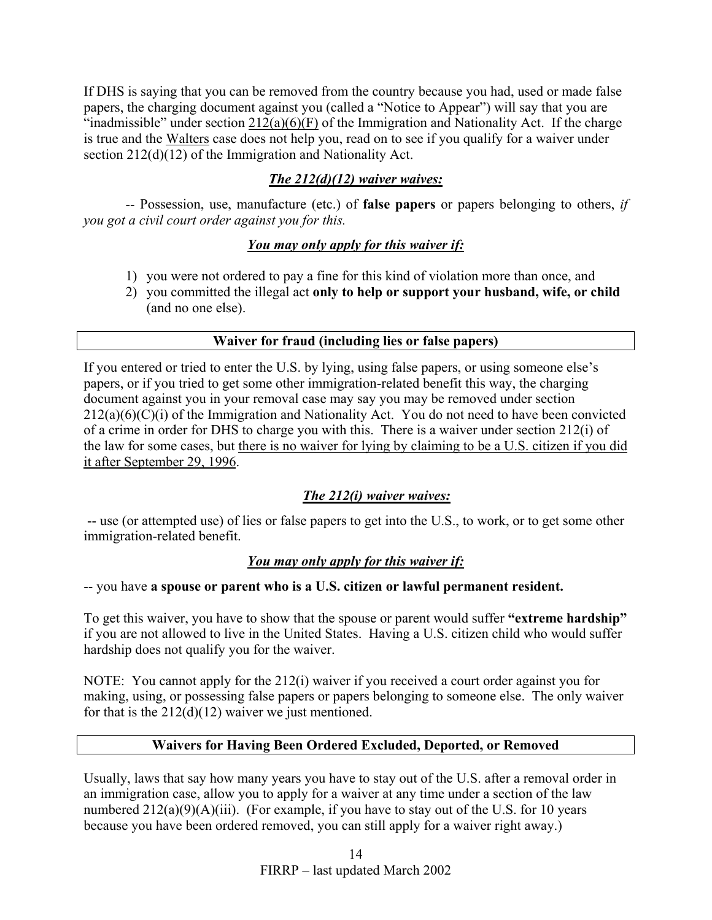If DHS is saying that you can be removed from the country because you had, used or made false papers, the charging document against you (called a "Notice to Appear") will say that you are "inadmissible" under section  $212(a)(6)(F)$  of the Immigration and Nationality Act. If the charge is true and the Walters case does not help you, read on to see if you qualify for a waiver under section 212(d)(12) of the Immigration and Nationality Act.

## *The 212(d)(12) waiver waives:*

-- Possession, use, manufacture (etc.) of **false papers** or papers belonging to others, *if you got a civil court order against you for this.* 

## *You may only apply for this waiver if:*

- 1) you were not ordered to pay a fine for this kind of violation more than once, and
- 2) you committed the illegal act **only to help or support your husband, wife, or child** (and no one else).

## **Waiver for fraud (including lies or false papers)**

If you entered or tried to enter the U.S. by lying, using false papers, or using someone else's papers, or if you tried to get some other immigration-related benefit this way, the charging document against you in your removal case may say you may be removed under section  $212(a)(6)(C)(i)$  of the Immigration and Nationality Act. You do not need to have been convicted of a crime in order for DHS to charge you with this. There is a waiver under section 212(i) of the law for some cases, but there is no waiver for lying by claiming to be a U.S. citizen if you did it after September 29, 1996.

## *The 212(i) waiver waives:*

 -- use (or attempted use) of lies or false papers to get into the U.S., to work, or to get some other immigration-related benefit.

## *You may only apply for this waiver if:*

-- you have **a spouse or parent who is a U.S. citizen or lawful permanent resident.**

To get this waiver, you have to show that the spouse or parent would suffer **"extreme hardship"** if you are not allowed to live in the United States. Having a U.S. citizen child who would suffer hardship does not qualify you for the waiver.

NOTE: You cannot apply for the 212(i) waiver if you received a court order against you for making, using, or possessing false papers or papers belonging to someone else. The only waiver for that is the  $212(d)(12)$  waiver we just mentioned.

## **Waivers for Having Been Ordered Excluded, Deported, or Removed**

Usually, laws that say how many years you have to stay out of the U.S. after a removal order in an immigration case, allow you to apply for a waiver at any time under a section of the law numbered  $212(a)(9)(A)(iii)$ . (For example, if you have to stay out of the U.S. for 10 years because you have been ordered removed, you can still apply for a waiver right away.)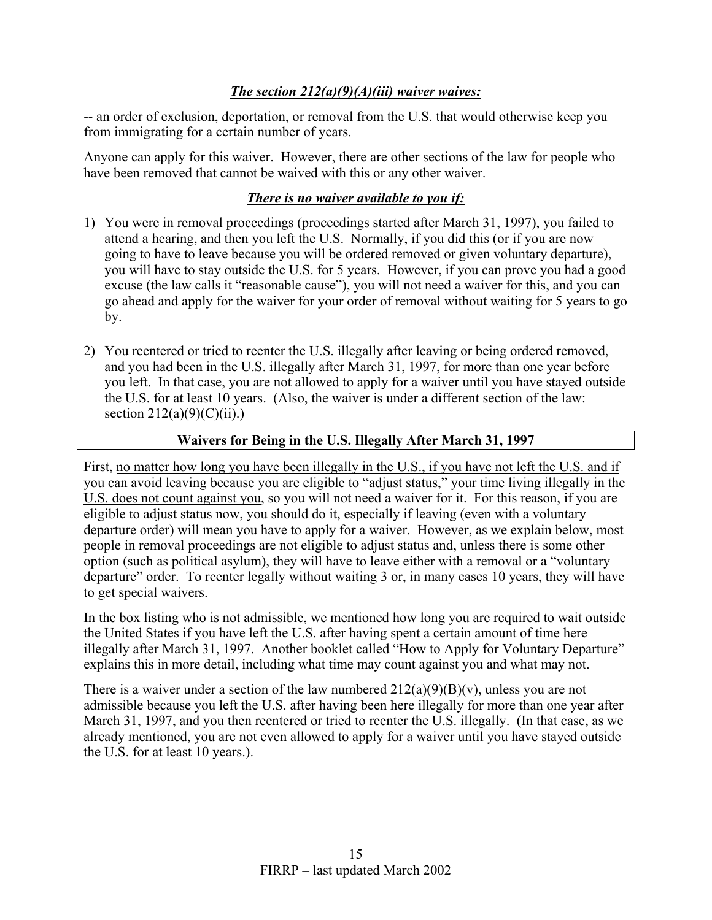## *The section 212(a)(9)(A)(iii) waiver waives:*

-- an order of exclusion, deportation, or removal from the U.S. that would otherwise keep you from immigrating for a certain number of years.

Anyone can apply for this waiver. However, there are other sections of the law for people who have been removed that cannot be waived with this or any other waiver.

## *There is no waiver available to you if:*

- 1) You were in removal proceedings (proceedings started after March 31, 1997), you failed to attend a hearing, and then you left the U.S. Normally, if you did this (or if you are now going to have to leave because you will be ordered removed or given voluntary departure), you will have to stay outside the U.S. for 5 years. However, if you can prove you had a good excuse (the law calls it "reasonable cause"), you will not need a waiver for this, and you can go ahead and apply for the waiver for your order of removal without waiting for 5 years to go by.
- 2) You reentered or tried to reenter the U.S. illegally after leaving or being ordered removed, and you had been in the U.S. illegally after March 31, 1997, for more than one year before you left. In that case, you are not allowed to apply for a waiver until you have stayed outside the U.S. for at least 10 years. (Also, the waiver is under a different section of the law: section  $212(a)(9)(C)(ii)$ .)

## **Waivers for Being in the U.S. Illegally After March 31, 1997**

First, no matter how long you have been illegally in the U.S., if you have not left the U.S. and if you can avoid leaving because you are eligible to "adjust status," your time living illegally in the U.S. does not count against you, so you will not need a waiver for it. For this reason, if you are eligible to adjust status now, you should do it, especially if leaving (even with a voluntary departure order) will mean you have to apply for a waiver. However, as we explain below, most people in removal proceedings are not eligible to adjust status and, unless there is some other option (such as political asylum), they will have to leave either with a removal or a "voluntary departure" order. To reenter legally without waiting 3 or, in many cases 10 years, they will have to get special waivers.

In the box listing who is not admissible, we mentioned how long you are required to wait outside the United States if you have left the U.S. after having spent a certain amount of time here illegally after March 31, 1997. Another booklet called "How to Apply for Voluntary Departure" explains this in more detail, including what time may count against you and what may not.

There is a waiver under a section of the law numbered  $212(a)(9)(B)(v)$ , unless you are not admissible because you left the U.S. after having been here illegally for more than one year after March 31, 1997, and you then reentered or tried to reenter the U.S. illegally. (In that case, as we already mentioned, you are not even allowed to apply for a waiver until you have stayed outside the U.S. for at least 10 years.).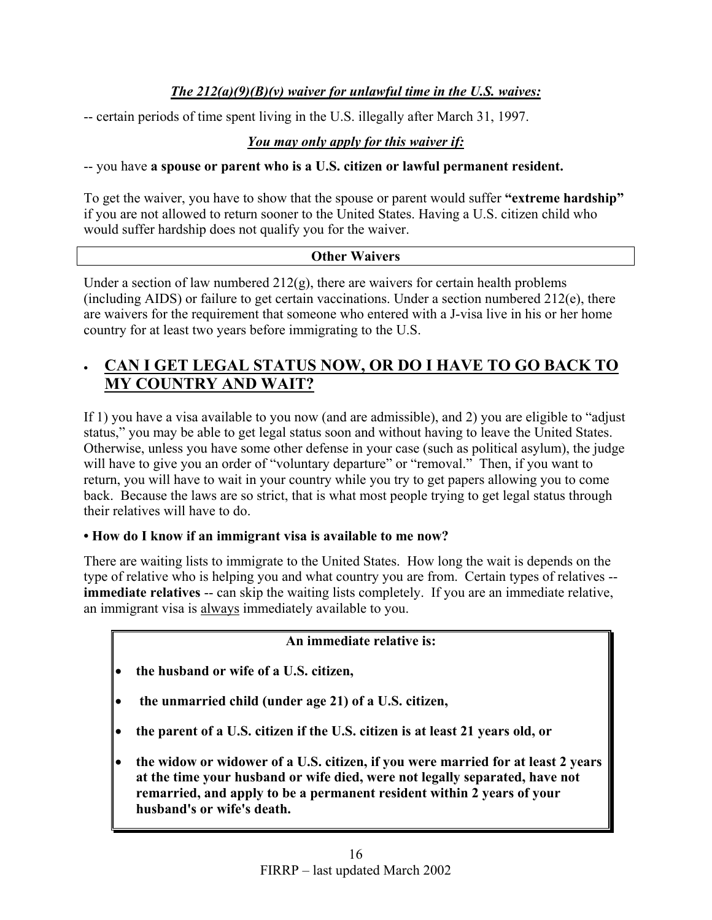## *The 212(a)(9)(B)(v) waiver for unlawful time in the U.S. waives:*

-- certain periods of time spent living in the U.S. illegally after March 31, 1997.

## *You may only apply for this waiver if:*

-- you have **a spouse or parent who is a U.S. citizen or lawful permanent resident.**

To get the waiver, you have to show that the spouse or parent would suffer **"extreme hardship"** if you are not allowed to return sooner to the United States. Having a U.S. citizen child who would suffer hardship does not qualify you for the waiver.

## **Other Waivers**

Under a section of law numbered  $212(g)$ , there are waivers for certain health problems (including AIDS) or failure to get certain vaccinations. Under a section numbered 212(e), there are waivers for the requirement that someone who entered with a J-visa live in his or her home country for at least two years before immigrating to the U.S.

# • **CAN I GET LEGAL STATUS NOW, OR DO I HAVE TO GO BACK TO MY COUNTRY AND WAIT?**

If 1) you have a visa available to you now (and are admissible), and 2) you are eligible to "adjust status," you may be able to get legal status soon and without having to leave the United States. Otherwise, unless you have some other defense in your case (such as political asylum), the judge will have to give you an order of "voluntary departure" or "removal." Then, if you want to return, you will have to wait in your country while you try to get papers allowing you to come back. Because the laws are so strict, that is what most people trying to get legal status through their relatives will have to do.

## **• How do I know if an immigrant visa is available to me now?**

There are waiting lists to immigrate to the United States. How long the wait is depends on the type of relative who is helping you and what country you are from. Certain types of relatives - **immediate relatives** -- can skip the waiting lists completely. If you are an immediate relative, an immigrant visa is always immediately available to you.

## **An immediate relative is:**

- **the husband or wife of a U.S. citizen,**
- • **the unmarried child (under age 21) of a U.S. citizen,**
- **the parent of a U.S. citizen if the U.S. citizen is at least 21 years old, or**
- **the widow or widower of a U.S. citizen, if you were married for at least 2 years at the time your husband or wife died, were not legally separated, have not remarried, and apply to be a permanent resident within 2 years of your husband's or wife's death.**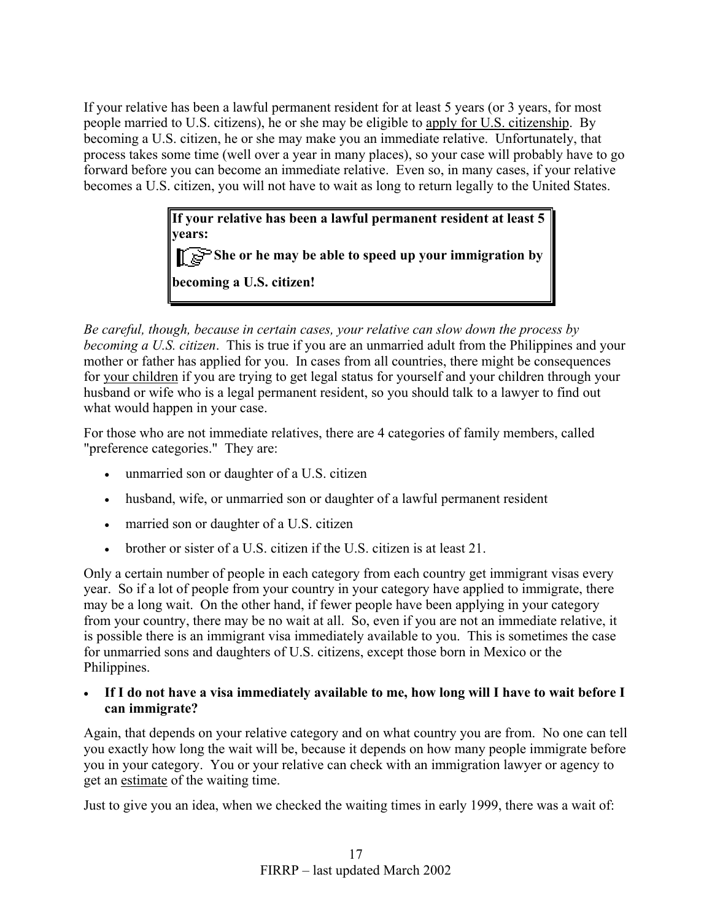If your relative has been a lawful permanent resident for at least 5 years (or 3 years, for most people married to U.S. citizens), he or she may be eligible to apply for U.S. citizenship. By becoming a U.S. citizen, he or she may make you an immediate relative. Unfortunately, that process takes some time (well over a year in many places), so your case will probably have to go forward before you can become an immediate relative. Even so, in many cases, if your relative becomes a U.S. citizen, you will not have to wait as long to return legally to the United States.

> **If your relative has been a lawful permanent resident at least 5 years: She or he may be able to speed up your immigration by becoming a U.S. citizen!**

*Be careful, though, because in certain cases, your relative can slow down the process by becoming a U.S. citizen*. This is true if you are an unmarried adult from the Philippines and your mother or father has applied for you. In cases from all countries, there might be consequences for your children if you are trying to get legal status for yourself and your children through your husband or wife who is a legal permanent resident, so you should talk to a lawyer to find out what would happen in your case.

For those who are not immediate relatives, there are 4 categories of family members, called "preference categories." They are:

- unmarried son or daughter of a U.S. citizen
- husband, wife, or unmarried son or daughter of a lawful permanent resident
- married son or daughter of a U.S. citizen
- brother or sister of a U.S. citizen if the U.S. citizen is at least 21.

Only a certain number of people in each category from each country get immigrant visas every year. So if a lot of people from your country in your category have applied to immigrate, there may be a long wait. On the other hand, if fewer people have been applying in your category from your country, there may be no wait at all. So, even if you are not an immediate relative, it is possible there is an immigrant visa immediately available to you. This is sometimes the case for unmarried sons and daughters of U.S. citizens, except those born in Mexico or the Philippines.

#### • **If I do not have a visa immediately available to me, how long will I have to wait before I can immigrate?**

Again, that depends on your relative category and on what country you are from. No one can tell you exactly how long the wait will be, because it depends on how many people immigrate before you in your category. You or your relative can check with an immigration lawyer or agency to get an estimate of the waiting time.

Just to give you an idea, when we checked the waiting times in early 1999, there was a wait of: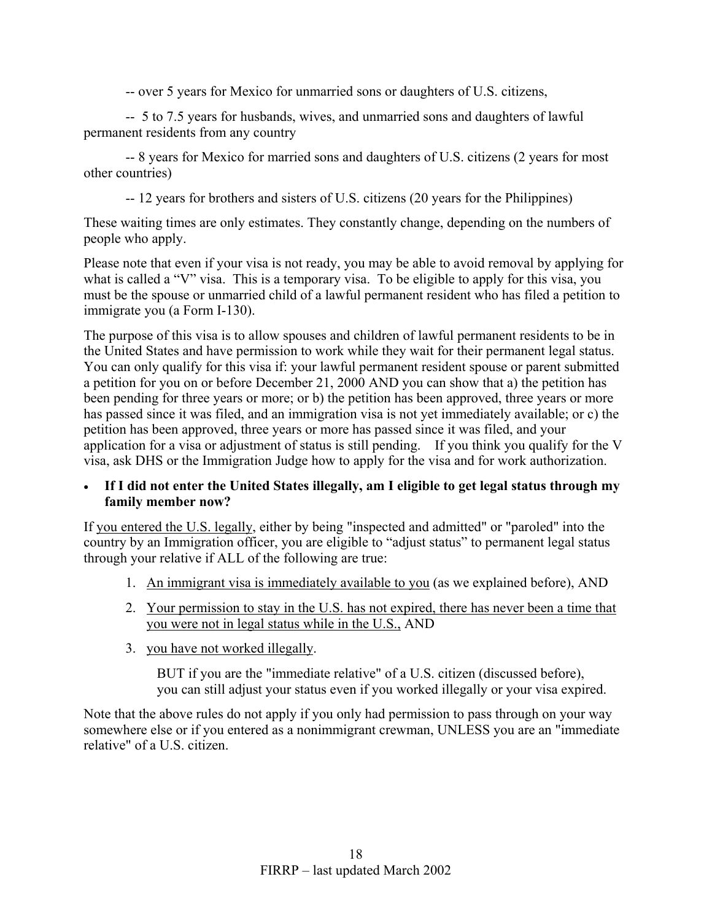-- over 5 years for Mexico for unmarried sons or daughters of U.S. citizens,

-- 5 to 7.5 years for husbands, wives, and unmarried sons and daughters of lawful permanent residents from any country

-- 8 years for Mexico for married sons and daughters of U.S. citizens (2 years for most other countries)

-- 12 years for brothers and sisters of U.S. citizens (20 years for the Philippines)

These waiting times are only estimates. They constantly change, depending on the numbers of people who apply.

Please note that even if your visa is not ready, you may be able to avoid removal by applying for what is called a "V" visa. This is a temporary visa. To be eligible to apply for this visa, you must be the spouse or unmarried child of a lawful permanent resident who has filed a petition to immigrate you (a Form I-130).

The purpose of this visa is to allow spouses and children of lawful permanent residents to be in the United States and have permission to work while they wait for their permanent legal status. You can only qualify for this visa if: your lawful permanent resident spouse or parent submitted a petition for you on or before December 21, 2000 AND you can show that a) the petition has been pending for three years or more; or b) the petition has been approved, three years or more has passed since it was filed, and an immigration visa is not yet immediately available; or c) the petition has been approved, three years or more has passed since it was filed, and your application for a visa or adjustment of status is still pending. If you think you qualify for the V visa, ask DHS or the Immigration Judge how to apply for the visa and for work authorization.

## • **If I did not enter the United States illegally, am I eligible to get legal status through my family member now?**

If you entered the U.S. legally, either by being "inspected and admitted" or "paroled" into the country by an Immigration officer, you are eligible to "adjust status" to permanent legal status through your relative if ALL of the following are true:

- 1. An immigrant visa is immediately available to you (as we explained before), AND
- 2. Your permission to stay in the U.S. has not expired, there has never been a time that you were not in legal status while in the U.S., AND
- 3. you have not worked illegally.

BUT if you are the "immediate relative" of a U.S. citizen (discussed before), you can still adjust your status even if you worked illegally or your visa expired.

Note that the above rules do not apply if you only had permission to pass through on your way somewhere else or if you entered as a nonimmigrant crewman, UNLESS you are an "immediate relative" of a U.S. citizen.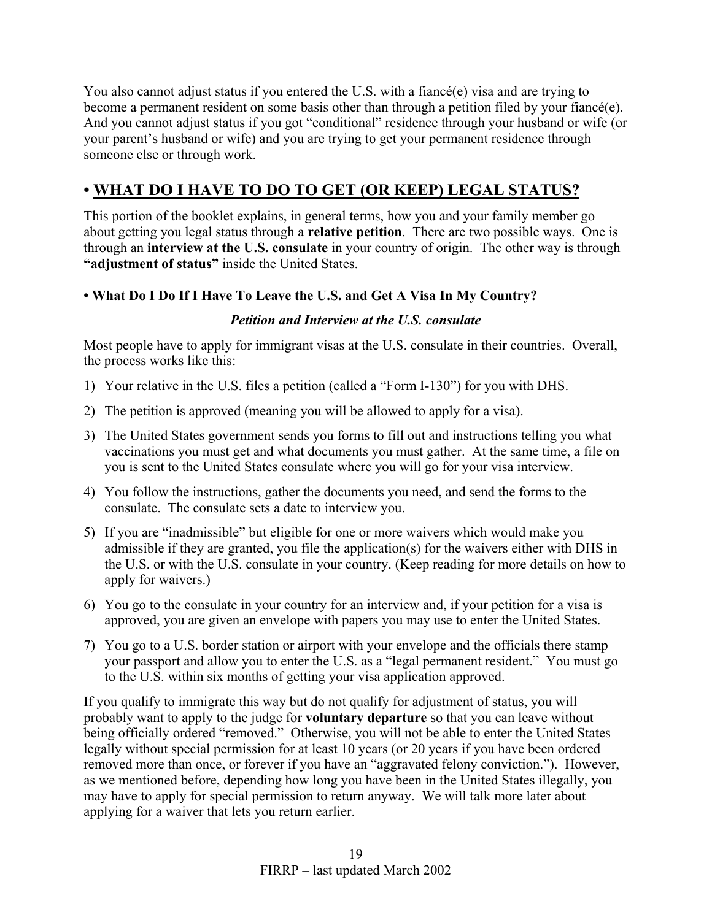You also cannot adjust status if you entered the U.S. with a fiancé(e) visa and are trying to become a permanent resident on some basis other than through a petition filed by your fiancé(e). And you cannot adjust status if you got "conditional" residence through your husband or wife (or your parent's husband or wife) and you are trying to get your permanent residence through someone else or through work.

# **• WHAT DO I HAVE TO DO TO GET (OR KEEP) LEGAL STATUS?**

This portion of the booklet explains, in general terms, how you and your family member go about getting you legal status through a **relative petition**. There are two possible ways. One is through an **interview at the U.S. consulate** in your country of origin. The other way is through **"adjustment of status"** inside the United States.

## **• What Do I Do If I Have To Leave the U.S. and Get A Visa In My Country?**

## *Petition and Interview at the U.S. consulate*

Most people have to apply for immigrant visas at the U.S. consulate in their countries. Overall, the process works like this:

- 1) Your relative in the U.S. files a petition (called a "Form I-130") for you with DHS.
- 2) The petition is approved (meaning you will be allowed to apply for a visa).
- 3) The United States government sends you forms to fill out and instructions telling you what vaccinations you must get and what documents you must gather. At the same time, a file on you is sent to the United States consulate where you will go for your visa interview.
- 4) You follow the instructions, gather the documents you need, and send the forms to the consulate. The consulate sets a date to interview you.
- 5) If you are "inadmissible" but eligible for one or more waivers which would make you admissible if they are granted, you file the application(s) for the waivers either with DHS in the U.S. or with the U.S. consulate in your country. (Keep reading for more details on how to apply for waivers.)
- 6) You go to the consulate in your country for an interview and, if your petition for a visa is approved, you are given an envelope with papers you may use to enter the United States.
- 7) You go to a U.S. border station or airport with your envelope and the officials there stamp your passport and allow you to enter the U.S. as a "legal permanent resident." You must go to the U.S. within six months of getting your visa application approved.

If you qualify to immigrate this way but do not qualify for adjustment of status, you will probably want to apply to the judge for **voluntary departure** so that you can leave without being officially ordered "removed." Otherwise, you will not be able to enter the United States legally without special permission for at least 10 years (or 20 years if you have been ordered removed more than once, or forever if you have an "aggravated felony conviction."). However, as we mentioned before, depending how long you have been in the United States illegally, you may have to apply for special permission to return anyway. We will talk more later about applying for a waiver that lets you return earlier.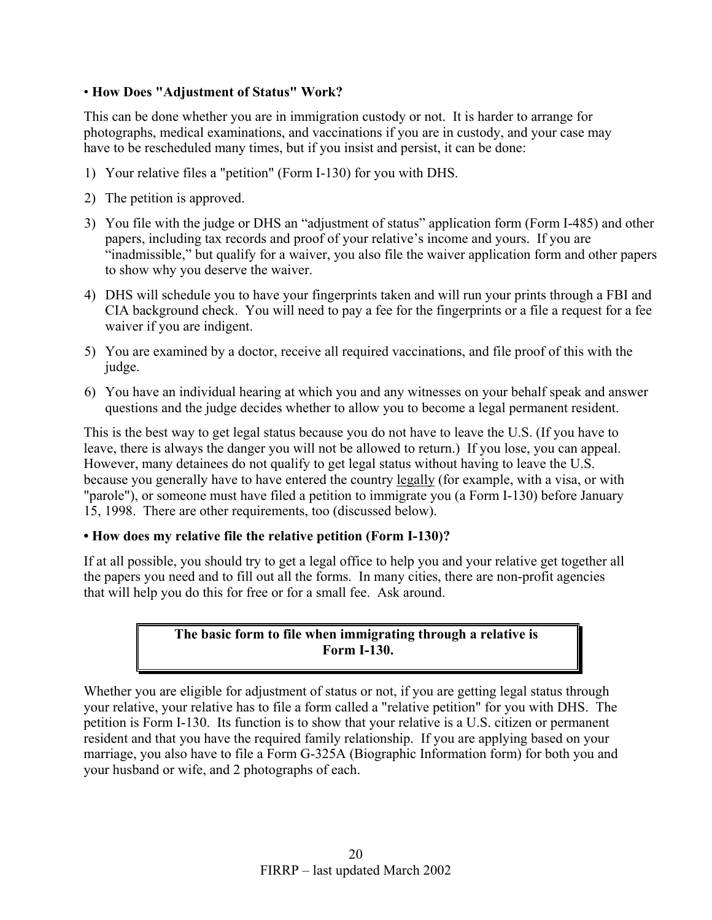#### • **How Does "Adjustment of Status" Work?**

This can be done whether you are in immigration custody or not. It is harder to arrange for photographs, medical examinations, and vaccinations if you are in custody, and your case may have to be rescheduled many times, but if you insist and persist, it can be done:

- 1) Your relative files a "petition" (Form I-130) for you with DHS.
- 2) The petition is approved.
- 3) You file with the judge or DHS an "adjustment of status" application form (Form I-485) and other papers, including tax records and proof of your relative's income and yours. If you are "inadmissible," but qualify for a waiver, you also file the waiver application form and other papers to show why you deserve the waiver.
- 4) DHS will schedule you to have your fingerprints taken and will run your prints through a FBI and CIA background check. You will need to pay a fee for the fingerprints or a file a request for a fee waiver if you are indigent.
- 5) You are examined by a doctor, receive all required vaccinations, and file proof of this with the judge.
- 6) You have an individual hearing at which you and any witnesses on your behalf speak and answer questions and the judge decides whether to allow you to become a legal permanent resident.

This is the best way to get legal status because you do not have to leave the U.S. (If you have to leave, there is always the danger you will not be allowed to return.) If you lose, you can appeal. However, many detainees do not qualify to get legal status without having to leave the U.S. because you generally have to have entered the country legally (for example, with a visa, or with "parole"), or someone must have filed a petition to immigrate you (a Form I-130) before January 15, 1998. There are other requirements, too (discussed below).

#### **• How does my relative file the relative petition (Form I-130)?**

If at all possible, you should try to get a legal office to help you and your relative get together all the papers you need and to fill out all the forms. In many cities, there are non-profit agencies that will help you do this for free or for a small fee. Ask around.

## **The basic form to file when immigrating through a relative is Form I-130.**

Whether you are eligible for adjustment of status or not, if you are getting legal status through your relative, your relative has to file a form called a "relative petition" for you with DHS. The petition is Form I-130. Its function is to show that your relative is a U.S. citizen or permanent resident and that you have the required family relationship. If you are applying based on your marriage, you also have to file a Form G-325A (Biographic Information form) for both you and your husband or wife, and 2 photographs of each.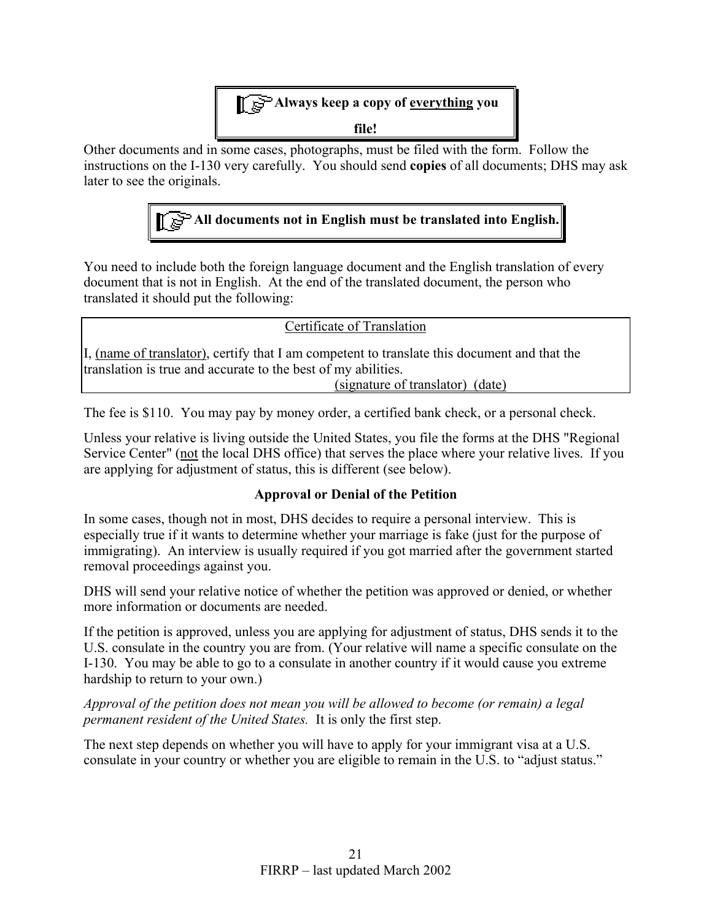

Other documents and in some cases, photographs, must be filed with the form. Follow the instructions on the I-130 very carefully. You should send **copies** of all documents; DHS may ask later to see the originals.



You need to include both the foreign language document and the English translation of every document that is not in English. At the end of the translated document, the person who translated it should put the following:

Certificate of Translation

I, (name of translator), certify that I am competent to translate this document and that the translation is true and accurate to the best of my abilities.

(signature of translator) (date)

The fee is \$110. You may pay by money order, a certified bank check, or a personal check.

Unless your relative is living outside the United States, you file the forms at the DHS "Regional Service Center" (not the local DHS office) that serves the place where your relative lives. If you are applying for adjustment of status, this is different (see below).

## **Approval or Denial of the Petition**

In some cases, though not in most, DHS decides to require a personal interview. This is especially true if it wants to determine whether your marriage is fake (just for the purpose of immigrating). An interview is usually required if you got married after the government started removal proceedings against you.

DHS will send your relative notice of whether the petition was approved or denied, or whether more information or documents are needed.

If the petition is approved, unless you are applying for adjustment of status, DHS sends it to the U.S. consulate in the country you are from. (Your relative will name a specific consulate on the I-130. You may be able to go to a consulate in another country if it would cause you extreme hardship to return to your own.)

*Approval of the petition does not mean you will be allowed to become (or remain) a legal permanent resident of the United States.* It is only the first step.

The next step depends on whether you will have to apply for your immigrant visa at a U.S. consulate in your country or whether you are eligible to remain in the U.S. to "adjust status."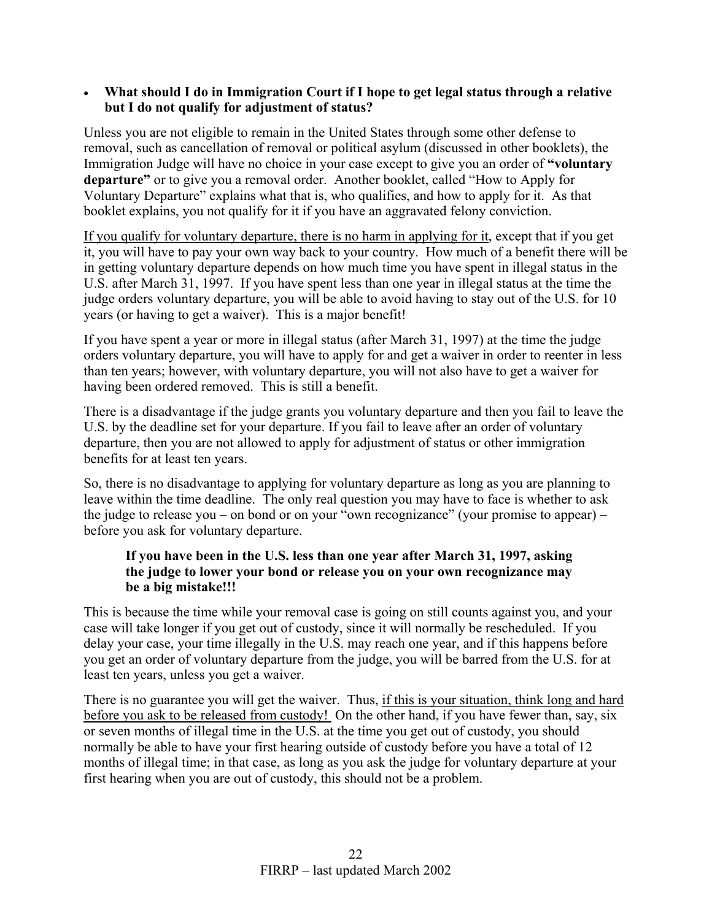#### • **What should I do in Immigration Court if I hope to get legal status through a relative but I do not qualify for adjustment of status?**

Unless you are not eligible to remain in the United States through some other defense to removal, such as cancellation of removal or political asylum (discussed in other booklets), the Immigration Judge will have no choice in your case except to give you an order of **"voluntary departure"** or to give you a removal order. Another booklet, called "How to Apply for Voluntary Departure" explains what that is, who qualifies, and how to apply for it. As that booklet explains, you not qualify for it if you have an aggravated felony conviction.

If you qualify for voluntary departure, there is no harm in applying for it, except that if you get it, you will have to pay your own way back to your country. How much of a benefit there will be in getting voluntary departure depends on how much time you have spent in illegal status in the U.S. after March 31, 1997. If you have spent less than one year in illegal status at the time the judge orders voluntary departure, you will be able to avoid having to stay out of the U.S. for 10 years (or having to get a waiver). This is a major benefit!

If you have spent a year or more in illegal status (after March 31, 1997) at the time the judge orders voluntary departure, you will have to apply for and get a waiver in order to reenter in less than ten years; however, with voluntary departure, you will not also have to get a waiver for having been ordered removed. This is still a benefit.

There is a disadvantage if the judge grants you voluntary departure and then you fail to leave the U.S. by the deadline set for your departure. If you fail to leave after an order of voluntary departure, then you are not allowed to apply for adjustment of status or other immigration benefits for at least ten years.

So, there is no disadvantage to applying for voluntary departure as long as you are planning to leave within the time deadline. The only real question you may have to face is whether to ask the judge to release you – on bond or on your "own recognizance" (your promise to appear) – before you ask for voluntary departure.

## **If you have been in the U.S. less than one year after March 31, 1997, asking the judge to lower your bond or release you on your own recognizance may be a big mistake!!!**

This is because the time while your removal case is going on still counts against you, and your case will take longer if you get out of custody, since it will normally be rescheduled. If you delay your case, your time illegally in the U.S. may reach one year, and if this happens before you get an order of voluntary departure from the judge, you will be barred from the U.S. for at least ten years, unless you get a waiver.

There is no guarantee you will get the waiver. Thus, if this is your situation, think long and hard before you ask to be released from custody! On the other hand, if you have fewer than, say, six or seven months of illegal time in the U.S. at the time you get out of custody, you should normally be able to have your first hearing outside of custody before you have a total of 12 months of illegal time; in that case, as long as you ask the judge for voluntary departure at your first hearing when you are out of custody, this should not be a problem.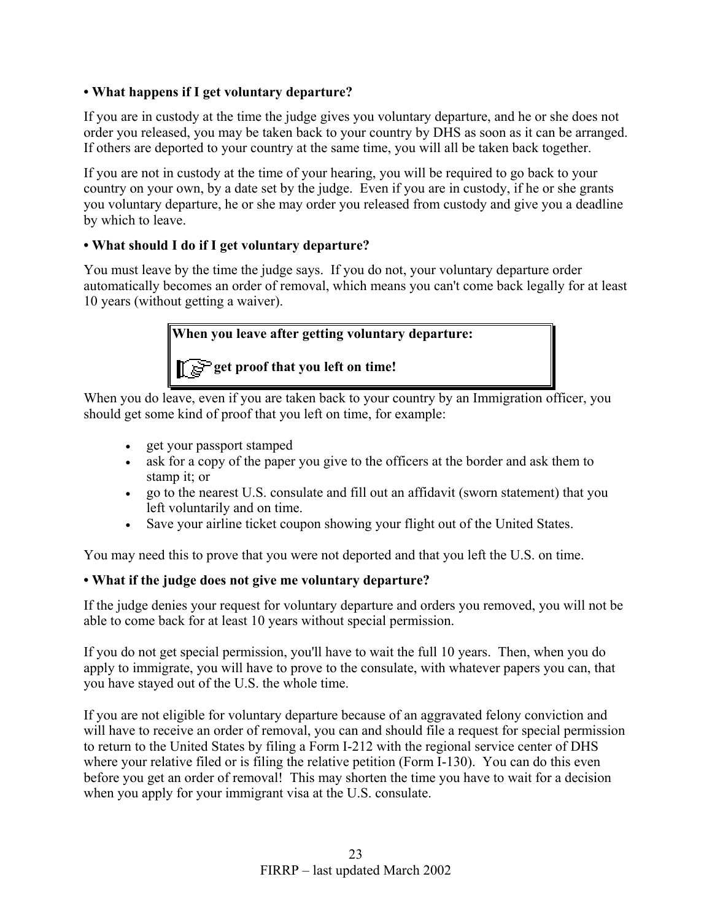## **• What happens if I get voluntary departure?**

If you are in custody at the time the judge gives you voluntary departure, and he or she does not order you released, you may be taken back to your country by DHS as soon as it can be arranged. If others are deported to your country at the same time, you will all be taken back together.

If you are not in custody at the time of your hearing, you will be required to go back to your country on your own, by a date set by the judge. Even if you are in custody, if he or she grants you voluntary departure, he or she may order you released from custody and give you a deadline by which to leave.

## **• What should I do if I get voluntary departure?**

You must leave by the time the judge says. If you do not, your voluntary departure order automatically becomes an order of removal, which means you can't come back legally for at least 10 years (without getting a waiver).

**When you leave after getting voluntary departure:**

**get proof that you left on time!**

When you do leave, even if you are taken back to your country by an Immigration officer, you should get some kind of proof that you left on time, for example:

- get your passport stamped
- ask for a copy of the paper you give to the officers at the border and ask them to stamp it; or
- go to the nearest U.S. consulate and fill out an affidavit (sworn statement) that you left voluntarily and on time.
- Save your airline ticket coupon showing your flight out of the United States.

You may need this to prove that you were not deported and that you left the U.S. on time.

## **• What if the judge does not give me voluntary departure?**

If the judge denies your request for voluntary departure and orders you removed, you will not be able to come back for at least 10 years without special permission.

If you do not get special permission, you'll have to wait the full 10 years. Then, when you do apply to immigrate, you will have to prove to the consulate, with whatever papers you can, that you have stayed out of the U.S. the whole time.

If you are not eligible for voluntary departure because of an aggravated felony conviction and will have to receive an order of removal, you can and should file a request for special permission to return to the United States by filing a Form I-212 with the regional service center of DHS where your relative filed or is filing the relative petition (Form I-130). You can do this even before you get an order of removal! This may shorten the time you have to wait for a decision when you apply for your immigrant visa at the U.S. consulate.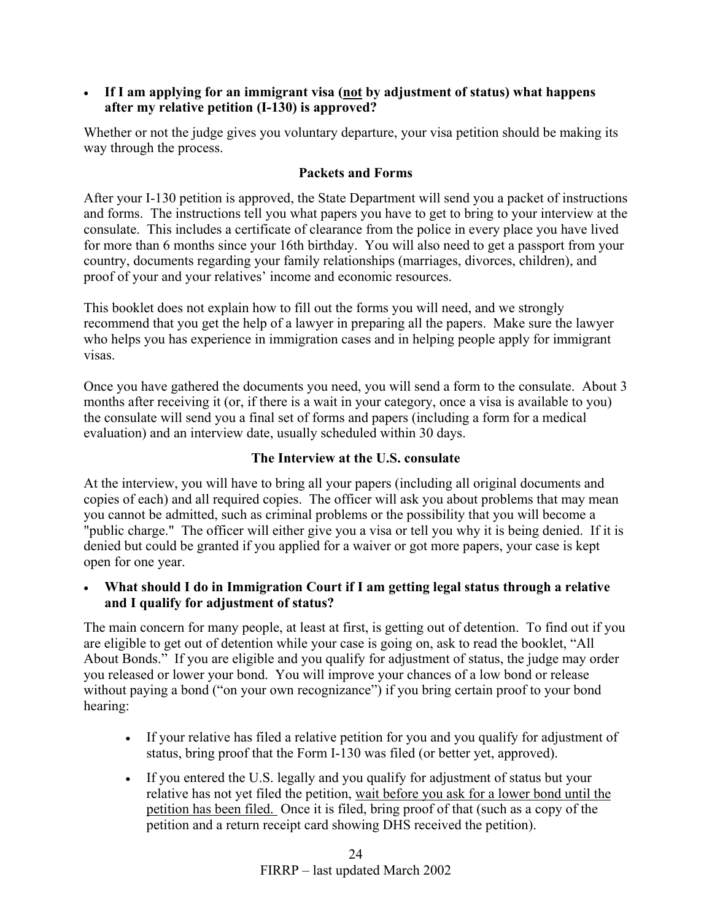• **If I am applying for an immigrant visa (not by adjustment of status) what happens after my relative petition (I-130) is approved?**

Whether or not the judge gives you voluntary departure, your visa petition should be making its way through the process.

## **Packets and Forms**

After your I-130 petition is approved, the State Department will send you a packet of instructions and forms. The instructions tell you what papers you have to get to bring to your interview at the consulate. This includes a certificate of clearance from the police in every place you have lived for more than 6 months since your 16th birthday. You will also need to get a passport from your country, documents regarding your family relationships (marriages, divorces, children), and proof of your and your relatives' income and economic resources.

This booklet does not explain how to fill out the forms you will need, and we strongly recommend that you get the help of a lawyer in preparing all the papers. Make sure the lawyer who helps you has experience in immigration cases and in helping people apply for immigrant visas.

Once you have gathered the documents you need, you will send a form to the consulate. About 3 months after receiving it (or, if there is a wait in your category, once a visa is available to you) the consulate will send you a final set of forms and papers (including a form for a medical evaluation) and an interview date, usually scheduled within 30 days.

## **The Interview at the U.S. consulate**

At the interview, you will have to bring all your papers (including all original documents and copies of each) and all required copies. The officer will ask you about problems that may mean you cannot be admitted, such as criminal problems or the possibility that you will become a "public charge." The officer will either give you a visa or tell you why it is being denied. If it is denied but could be granted if you applied for a waiver or got more papers, your case is kept open for one year.

## • **What should I do in Immigration Court if I am getting legal status through a relative and I qualify for adjustment of status?**

The main concern for many people, at least at first, is getting out of detention. To find out if you are eligible to get out of detention while your case is going on, ask to read the booklet, "All About Bonds." If you are eligible and you qualify for adjustment of status, the judge may order you released or lower your bond. You will improve your chances of a low bond or release without paying a bond ("on your own recognizance") if you bring certain proof to your bond hearing:

- If your relative has filed a relative petition for you and you qualify for adjustment of status, bring proof that the Form I-130 was filed (or better yet, approved).
- If you entered the U.S. legally and you qualify for adjustment of status but your relative has not yet filed the petition, wait before you ask for a lower bond until the petition has been filed. Once it is filed, bring proof of that (such as a copy of the petition and a return receipt card showing DHS received the petition).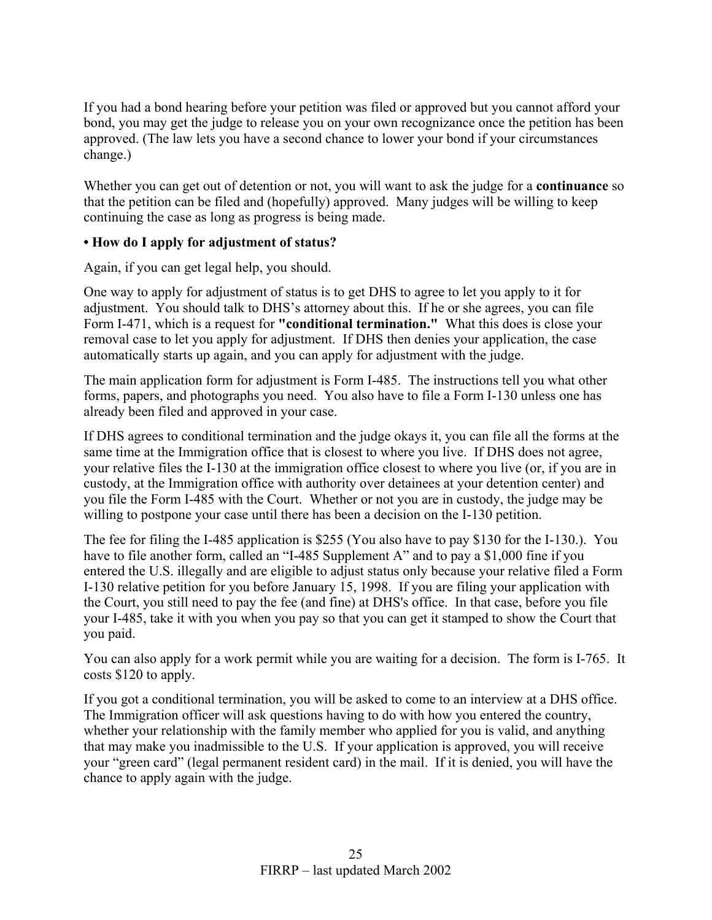If you had a bond hearing before your petition was filed or approved but you cannot afford your bond, you may get the judge to release you on your own recognizance once the petition has been approved. (The law lets you have a second chance to lower your bond if your circumstances change.)

Whether you can get out of detention or not, you will want to ask the judge for a **continuance** so that the petition can be filed and (hopefully) approved. Many judges will be willing to keep continuing the case as long as progress is being made.

#### **• How do I apply for adjustment of status?**

Again, if you can get legal help, you should.

One way to apply for adjustment of status is to get DHS to agree to let you apply to it for adjustment. You should talk to DHS's attorney about this. If he or she agrees, you can file Form I-471, which is a request for **"conditional termination."** What this does is close your removal case to let you apply for adjustment. If DHS then denies your application, the case automatically starts up again, and you can apply for adjustment with the judge.

The main application form for adjustment is Form I-485. The instructions tell you what other forms, papers, and photographs you need. You also have to file a Form I-130 unless one has already been filed and approved in your case.

If DHS agrees to conditional termination and the judge okays it, you can file all the forms at the same time at the Immigration office that is closest to where you live. If DHS does not agree, your relative files the I-130 at the immigration office closest to where you live (or, if you are in custody, at the Immigration office with authority over detainees at your detention center) and you file the Form I-485 with the Court. Whether or not you are in custody, the judge may be willing to postpone your case until there has been a decision on the I-130 petition.

The fee for filing the I-485 application is \$255 (You also have to pay \$130 for the I-130.). You have to file another form, called an "I-485 Supplement A" and to pay a \$1,000 fine if you entered the U.S. illegally and are eligible to adjust status only because your relative filed a Form I-130 relative petition for you before January 15, 1998. If you are filing your application with the Court, you still need to pay the fee (and fine) at DHS's office. In that case, before you file your I-485, take it with you when you pay so that you can get it stamped to show the Court that you paid.

You can also apply for a work permit while you are waiting for a decision. The form is I-765. It costs \$120 to apply.

If you got a conditional termination, you will be asked to come to an interview at a DHS office. The Immigration officer will ask questions having to do with how you entered the country, whether your relationship with the family member who applied for you is valid, and anything that may make you inadmissible to the U.S. If your application is approved, you will receive your "green card" (legal permanent resident card) in the mail. If it is denied, you will have the chance to apply again with the judge.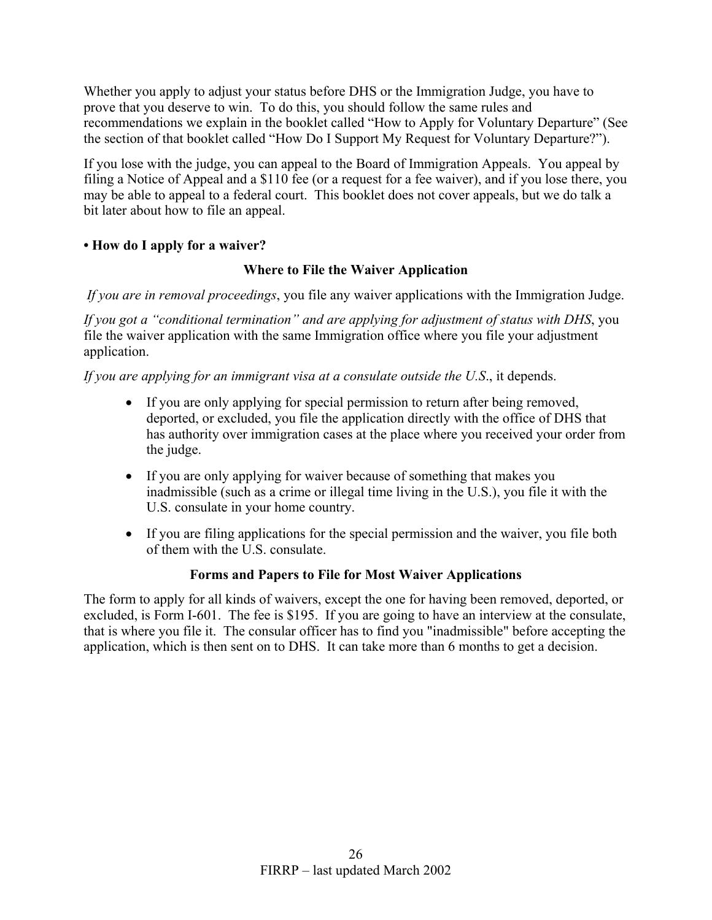Whether you apply to adjust your status before DHS or the Immigration Judge, you have to prove that you deserve to win. To do this, you should follow the same rules and recommendations we explain in the booklet called "How to Apply for Voluntary Departure" (See the section of that booklet called "How Do I Support My Request for Voluntary Departure?").

If you lose with the judge, you can appeal to the Board of Immigration Appeals. You appeal by filing a Notice of Appeal and a \$110 fee (or a request for a fee waiver), and if you lose there, you may be able to appeal to a federal court. This booklet does not cover appeals, but we do talk a bit later about how to file an appeal.

## **• How do I apply for a waiver?**

## **Where to File the Waiver Application**

*If you are in removal proceedings*, you file any waiver applications with the Immigration Judge.

*If you got a "conditional termination" and are applying for adjustment of status with DHS*, you file the waiver application with the same Immigration office where you file your adjustment application.

*If you are applying for an immigrant visa at a consulate outside the U.S*., it depends.

- If you are only applying for special permission to return after being removed, deported, or excluded, you file the application directly with the office of DHS that has authority over immigration cases at the place where you received your order from the judge.
- If you are only applying for waiver because of something that makes you inadmissible (such as a crime or illegal time living in the U.S.), you file it with the U.S. consulate in your home country.
- If you are filing applications for the special permission and the waiver, you file both of them with the U.S. consulate.

## **Forms and Papers to File for Most Waiver Applications**

The form to apply for all kinds of waivers, except the one for having been removed, deported, or excluded, is Form I-601. The fee is \$195. If you are going to have an interview at the consulate, that is where you file it. The consular officer has to find you "inadmissible" before accepting the application, which is then sent on to DHS. It can take more than 6 months to get a decision.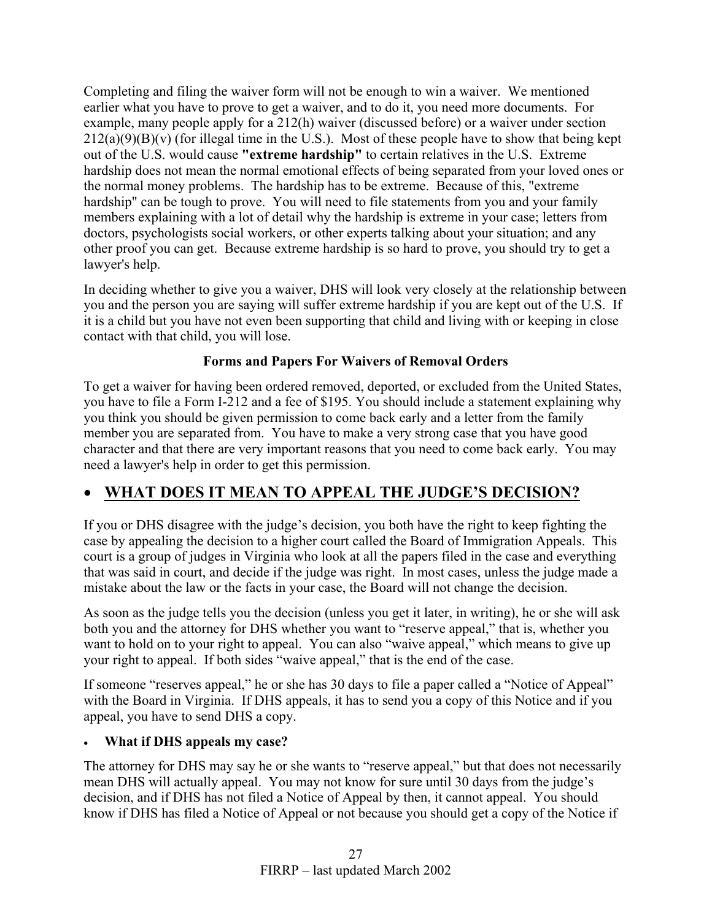Completing and filing the waiver form will not be enough to win a waiver. We mentioned earlier what you have to prove to get a waiver, and to do it, you need more documents. For example, many people apply for a 212(h) waiver (discussed before) or a waiver under section  $212(a)(9)(B)(v)$  (for illegal time in the U.S.). Most of these people have to show that being kept out of the U.S. would cause **"extreme hardship"** to certain relatives in the U.S. Extreme hardship does not mean the normal emotional effects of being separated from your loved ones or the normal money problems. The hardship has to be extreme. Because of this, "extreme hardship" can be tough to prove. You will need to file statements from you and your family members explaining with a lot of detail why the hardship is extreme in your case; letters from doctors, psychologists social workers, or other experts talking about your situation; and any other proof you can get. Because extreme hardship is so hard to prove, you should try to get a lawyer's help.

In deciding whether to give you a waiver, DHS will look very closely at the relationship between you and the person you are saying will suffer extreme hardship if you are kept out of the U.S. If it is a child but you have not even been supporting that child and living with or keeping in close contact with that child, you will lose.

## **Forms and Papers For Waivers of Removal Orders**

To get a waiver for having been ordered removed, deported, or excluded from the United States, you have to file a Form I-212 and a fee of \$195. You should include a statement explaining why you think you should be given permission to come back early and a letter from the family member you are separated from. You have to make a very strong case that you have good character and that there are very important reasons that you need to come back early. You may need a lawyer's help in order to get this permission.

# • **WHAT DOES IT MEAN TO APPEAL THE JUDGE'S DECISION?**

If you or DHS disagree with the judge's decision, you both have the right to keep fighting the case by appealing the decision to a higher court called the Board of Immigration Appeals. This court is a group of judges in Virginia who look at all the papers filed in the case and everything that was said in court, and decide if the judge was right. In most cases, unless the judge made a mistake about the law or the facts in your case, the Board will not change the decision.

As soon as the judge tells you the decision (unless you get it later, in writing), he or she will ask both you and the attorney for DHS whether you want to "reserve appeal," that is, whether you want to hold on to your right to appeal. You can also "waive appeal," which means to give up your right to appeal. If both sides "waive appeal," that is the end of the case.

If someone "reserves appeal," he or she has 30 days to file a paper called a "Notice of Appeal" with the Board in Virginia. If DHS appeals, it has to send you a copy of this Notice and if you appeal, you have to send DHS a copy.

## • **What if DHS appeals my case?**

The attorney for DHS may say he or she wants to "reserve appeal," but that does not necessarily mean DHS will actually appeal. You may not know for sure until 30 days from the judge's decision, and if DHS has not filed a Notice of Appeal by then, it cannot appeal. You should know if DHS has filed a Notice of Appeal or not because you should get a copy of the Notice if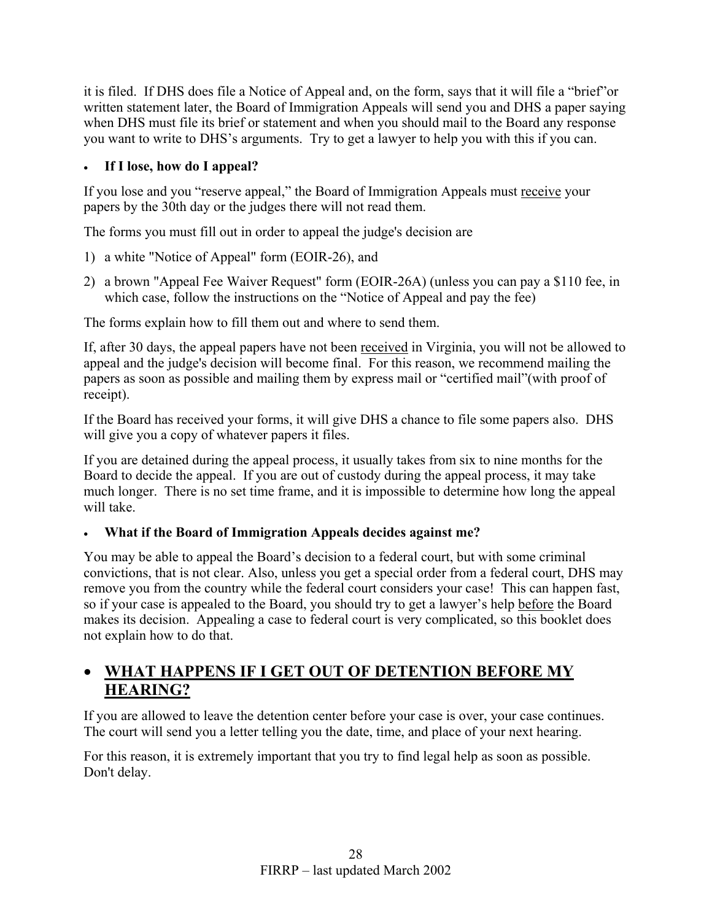it is filed. If DHS does file a Notice of Appeal and, on the form, says that it will file a "brief"or written statement later, the Board of Immigration Appeals will send you and DHS a paper saying when DHS must file its brief or statement and when you should mail to the Board any response you want to write to DHS's arguments. Try to get a lawyer to help you with this if you can.

## • **If I lose, how do I appeal?**

If you lose and you "reserve appeal," the Board of Immigration Appeals must receive your papers by the 30th day or the judges there will not read them.

The forms you must fill out in order to appeal the judge's decision are

- 1) a white "Notice of Appeal" form (EOIR-26), and
- 2) a brown "Appeal Fee Waiver Request" form (EOIR-26A) (unless you can pay a \$110 fee, in which case, follow the instructions on the "Notice of Appeal and pay the fee)

The forms explain how to fill them out and where to send them.

If, after 30 days, the appeal papers have not been received in Virginia, you will not be allowed to appeal and the judge's decision will become final. For this reason, we recommend mailing the papers as soon as possible and mailing them by express mail or "certified mail"(with proof of receipt).

If the Board has received your forms, it will give DHS a chance to file some papers also. DHS will give you a copy of whatever papers it files.

If you are detained during the appeal process, it usually takes from six to nine months for the Board to decide the appeal. If you are out of custody during the appeal process, it may take much longer. There is no set time frame, and it is impossible to determine how long the appeal will take

# • **What if the Board of Immigration Appeals decides against me?**

You may be able to appeal the Board's decision to a federal court, but with some criminal convictions, that is not clear. Also, unless you get a special order from a federal court, DHS may remove you from the country while the federal court considers your case! This can happen fast, so if your case is appealed to the Board, you should try to get a lawyer's help before the Board makes its decision. Appealing a case to federal court is very complicated, so this booklet does not explain how to do that.

# • **WHAT HAPPENS IF I GET OUT OF DETENTION BEFORE MY HEARING?**

If you are allowed to leave the detention center before your case is over, your case continues. The court will send you a letter telling you the date, time, and place of your next hearing.

For this reason, it is extremely important that you try to find legal help as soon as possible. Don't delay.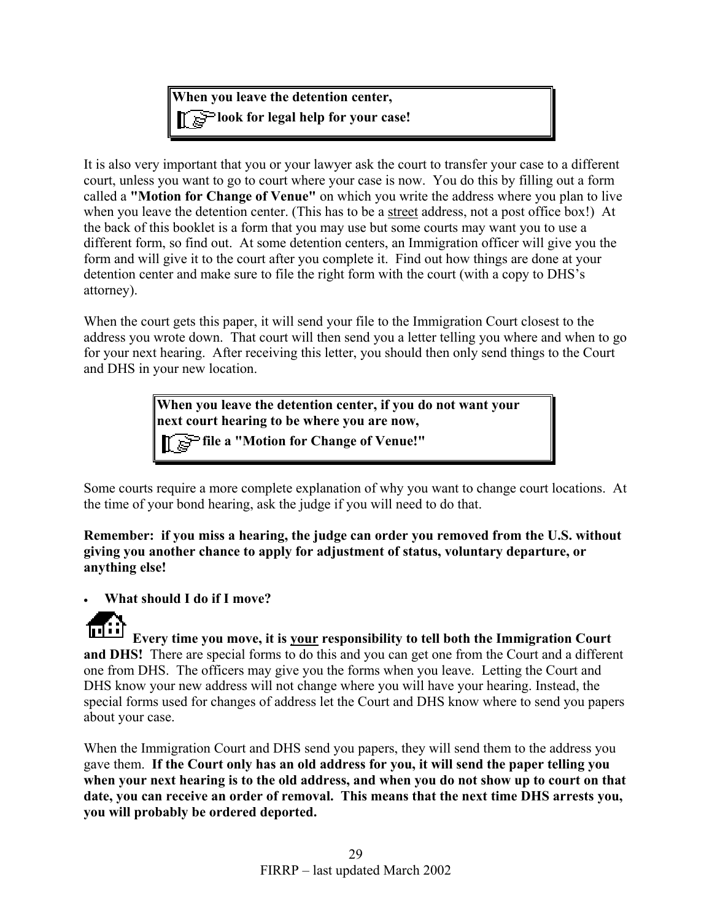**When you leave the detention center, look for legal help for your case!** 

It is also very important that you or your lawyer ask the court to transfer your case to a different court, unless you want to go to court where your case is now. You do this by filling out a form called a **"Motion for Change of Venue"** on which you write the address where you plan to live when you leave the detention center. (This has to be a street address, not a post office box!) At the back of this booklet is a form that you may use but some courts may want you to use a different form, so find out. At some detention centers, an Immigration officer will give you the form and will give it to the court after you complete it. Find out how things are done at your detention center and make sure to file the right form with the court (with a copy to DHS's attorney).

When the court gets this paper, it will send your file to the Immigration Court closest to the address you wrote down. That court will then send you a letter telling you where and when to go for your next hearing. After receiving this letter, you should then only send things to the Court and DHS in your new location.

> **When you leave the detention center, if you do not want your next court hearing to be where you are now,**

**file a "Motion for Change of Venue!"**

Some courts require a more complete explanation of why you want to change court locations. At the time of your bond hearing, ask the judge if you will need to do that.

**Remember: if you miss a hearing, the judge can order you removed from the U.S. without giving you another chance to apply for adjustment of status, voluntary departure, or anything else!**

• **What should I do if I move?** 



**Every time you move, it is your responsibility to tell both the Immigration Court and DHS!** There are special forms to do this and you can get one from the Court and a different one from DHS. The officers may give you the forms when you leave. Letting the Court and DHS know your new address will not change where you will have your hearing. Instead, the special forms used for changes of address let the Court and DHS know where to send you papers about your case.

When the Immigration Court and DHS send you papers, they will send them to the address you gave them. **If the Court only has an old address for you, it will send the paper telling you when your next hearing is to the old address, and when you do not show up to court on that date, you can receive an order of removal. This means that the next time DHS arrests you, you will probably be ordered deported.**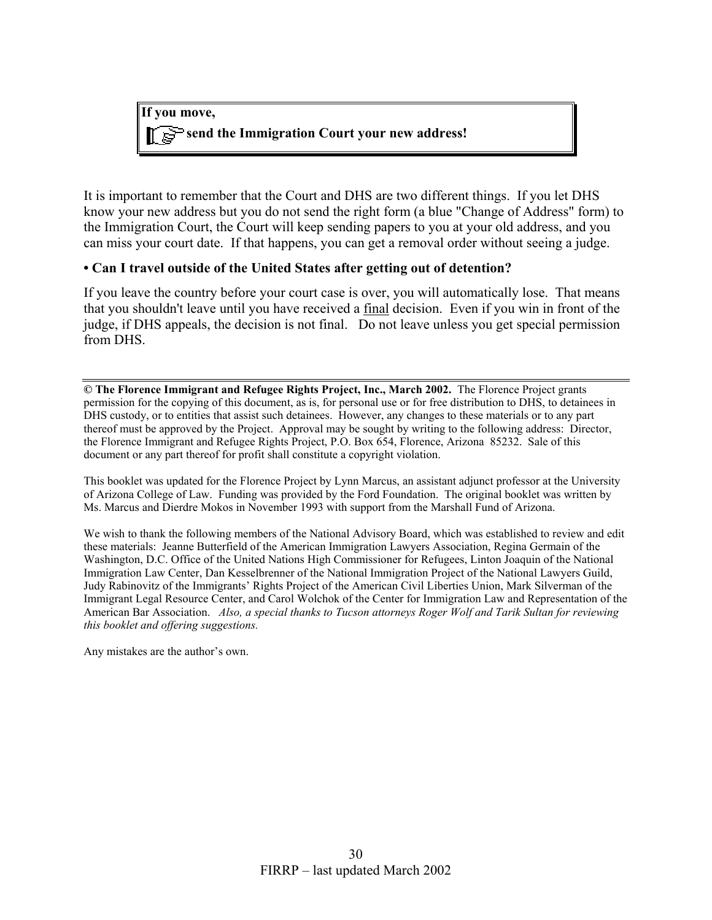

It is important to remember that the Court and DHS are two different things. If you let DHS know your new address but you do not send the right form (a blue "Change of Address" form) to the Immigration Court, the Court will keep sending papers to you at your old address, and you can miss your court date. If that happens, you can get a removal order without seeing a judge.

#### **• Can I travel outside of the United States after getting out of detention?**

If you leave the country before your court case is over, you will automatically lose. That means that you shouldn't leave until you have received a final decision. Even if you win in front of the judge, if DHS appeals, the decision is not final. Do not leave unless you get special permission from DHS.

**© The Florence Immigrant and Refugee Rights Project, Inc., March 2002.** The Florence Project grants permission for the copying of this document, as is, for personal use or for free distribution to DHS, to detainees in DHS custody, or to entities that assist such detainees. However, any changes to these materials or to any part thereof must be approved by the Project. Approval may be sought by writing to the following address: Director, the Florence Immigrant and Refugee Rights Project, P.O. Box 654, Florence, Arizona 85232. Sale of this document or any part thereof for profit shall constitute a copyright violation.

This booklet was updated for the Florence Project by Lynn Marcus, an assistant adjunct professor at the University of Arizona College of Law. Funding was provided by the Ford Foundation. The original booklet was written by Ms. Marcus and Dierdre Mokos in November 1993 with support from the Marshall Fund of Arizona.

We wish to thank the following members of the National Advisory Board, which was established to review and edit these materials: Jeanne Butterfield of the American Immigration Lawyers Association, Regina Germain of the Washington, D.C. Office of the United Nations High Commissioner for Refugees, Linton Joaquin of the National Immigration Law Center, Dan Kesselbrenner of the National Immigration Project of the National Lawyers Guild, Judy Rabinovitz of the Immigrants' Rights Project of the American Civil Liberties Union, Mark Silverman of the Immigrant Legal Resource Center, and Carol Wolchok of the Center for Immigration Law and Representation of the American Bar Association. *Also, a special thanks to Tucson attorneys Roger Wolf and Tarik Sultan for reviewing this booklet and offering suggestions.* 

Any mistakes are the author's own.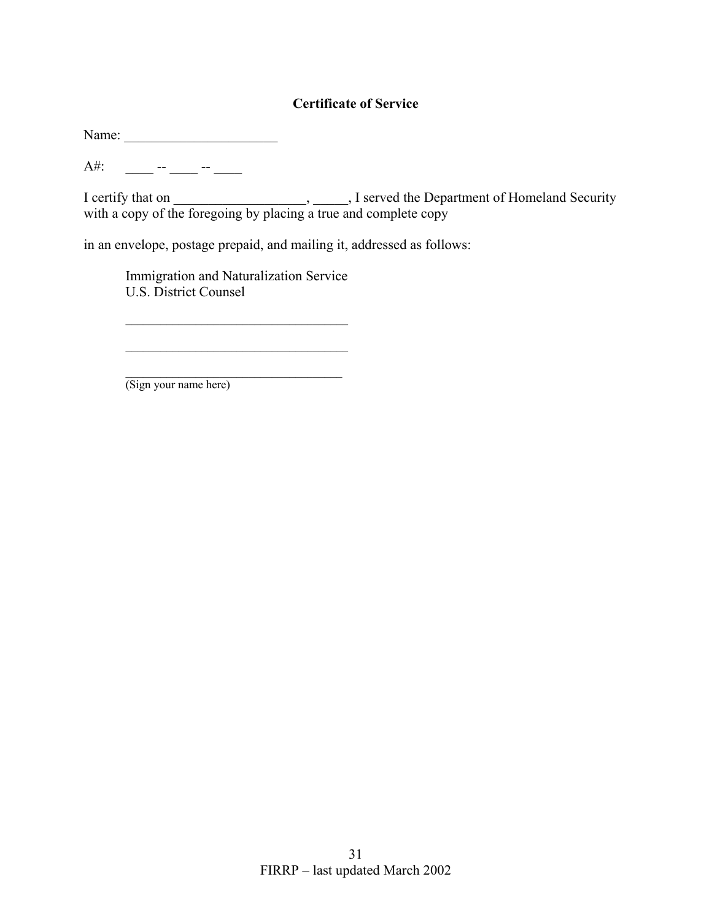## **Certificate of Service**

Name: \_\_\_\_\_\_\_\_\_\_\_\_\_\_\_\_\_\_\_\_\_\_

 $A#$ : \_\_\_\_\_\_\_ -- \_\_\_\_ -- \_\_\_\_

I certify that on \_\_\_\_\_\_\_\_\_\_\_\_\_\_\_\_\_\_\_, \_\_\_\_\_, I served the Department of Homeland Security with a copy of the foregoing by placing a true and complete copy

in an envelope, postage prepaid, and mailing it, addressed as follows:

Immigration and Naturalization Service U.S. District Counsel

(Sign your name here)